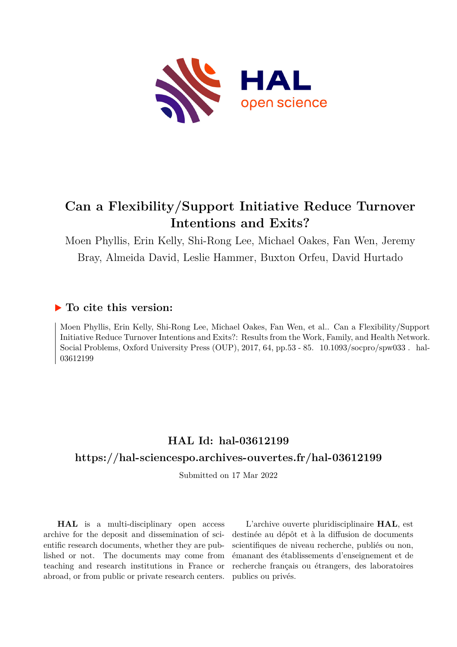

# **Can a Flexibility/Support Initiative Reduce Turnover Intentions and Exits?**

Moen Phyllis, Erin Kelly, Shi-Rong Lee, Michael Oakes, Fan Wen, Jeremy Bray, Almeida David, Leslie Hammer, Buxton Orfeu, David Hurtado

## **To cite this version:**

Moen Phyllis, Erin Kelly, Shi-Rong Lee, Michael Oakes, Fan Wen, et al.. Can a Flexibility/Support Initiative Reduce Turnover Intentions and Exits?: Results from the Work, Family, and Health Network. Social Problems, Oxford University Press (OUP), 2017, 64, pp.53 - 85. 10.1093/socpro/spw033. hal-03612199

# **HAL Id: hal-03612199**

## **<https://hal-sciencespo.archives-ouvertes.fr/hal-03612199>**

Submitted on 17 Mar 2022

**HAL** is a multi-disciplinary open access archive for the deposit and dissemination of scientific research documents, whether they are published or not. The documents may come from teaching and research institutions in France or abroad, or from public or private research centers.

L'archive ouverte pluridisciplinaire **HAL**, est destinée au dépôt et à la diffusion de documents scientifiques de niveau recherche, publiés ou non, émanant des établissements d'enseignement et de recherche français ou étrangers, des laboratoires publics ou privés.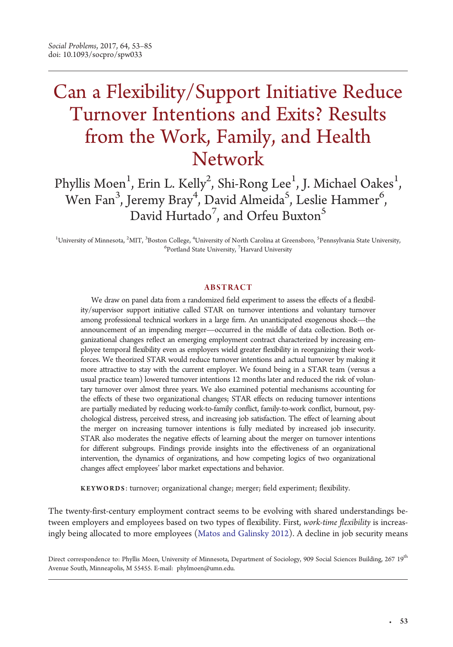# Can a Flexibility/Support Initiative Reduce Turnover Intentions and Exits? Results from the Work, Family, and Health Network

Phyllis Moen $^1$ , Erin L. Kelly $^2$ , Shi-Rong Lee $^1$ , J. Michael Oakes $^1$ , Wen Fan<sup>3</sup>, Jeremy Bray<sup>4</sup>, David Almeida<sup>5</sup>, Leslie Hammer<sup>6</sup> .<br>و David Hurtado<sup>7</sup>, and Orfeu Buxton<sup>5</sup>

<sup>1</sup>University of Minnesota, <sup>2</sup>MIT, <sup>3</sup>Boston College, <sup>4</sup>University of North Carolina at Greensboro, <sup>5</sup>Pennsylvania State University, <sup>6</sup> Portland State University, <sup>7</sup> Harvard University

#### ABSTRACT

We draw on panel data from a randomized field experiment to assess the effects of a flexibility/supervisor support initiative called STAR on turnover intentions and voluntary turnover among professional technical workers in a large firm. An unanticipated exogenous shock—the announcement of an impending merger—occurred in the middle of data collection. Both organizational changes reflect an emerging employment contract characterized by increasing employee temporal flexibility even as employers wield greater flexibility in reorganizing their workforces. We theorized STAR would reduce turnover intentions and actual turnover by making it more attractive to stay with the current employer. We found being in a STAR team (versus a usual practice team) lowered turnover intentions 12 months later and reduced the risk of voluntary turnover over almost three years. We also examined potential mechanisms accounting for the effects of these two organizational changes; STAR effects on reducing turnover intentions are partially mediated by reducing work-to-family conflict, family-to-work conflict, burnout, psychological distress, perceived stress, and increasing job satisfaction. The effect of learning about the merger on increasing turnover intentions is fully mediated by increased job insecurity. STAR also moderates the negative effects of learning about the merger on turnover intentions for different subgroups. Findings provide insights into the effectiveness of an organizational intervention, the dynamics of organizations, and how competing logics of two organizational changes affect employees' labor market expectations and behavior.

KEYWORDS: turnover; organizational change; merger; field experiment; flexibility.

The twenty-first-century employment contract seems to be evolving with shared understandings between employers and employees based on two types of flexibility. First, work-time flexibility is increasingly being allocated to more employees (Matos and Galinsky 2012). A decline in job security means

Direct correspondence to: Phyllis Moen, University of Minnesota, Department of Sociology, 909 Social Sciences Building, 267 19<sup>th</sup> Avenue South, Minneapolis, M 55455. E-mail: phylmoen@umn.edu.

-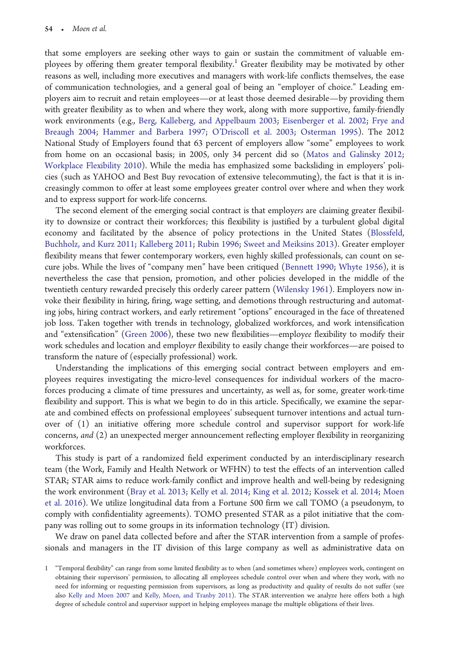that some employers are seeking other ways to gain or sustain the commitment of valuable employees by offering them greater temporal flexibility.<sup>1</sup> Greater flexibility may be motivated by other reasons as well, including more executives and managers with work-life conflicts themselves, the ease of communication technologies, and a general goal of being an "employer of choice." Leading employers aim to recruit and retain employees—or at least those deemed desirable—by providing them with greater flexibility as to when and where they work, along with more supportive, family-friendly work environments (e.g., Berg, Kalleberg, and Appelbaum 2003; Eisenberger et al. 2002; Frye and Breaugh 2004; Hammer and Barbera 1997; O'Driscoll et al. 2003; Osterman 1995). The 2012 National Study of Employers found that 63 percent of employers allow "some" employees to work from home on an occasional basis; in 2005, only 34 percent did so (Matos and Galinsky 2012; Workplace Flexibility 2010). While the media has emphasized some backsliding in employers' policies (such as YAHOO and Best Buy revocation of extensive telecommuting), the fact is that it is increasingly common to offer at least some employees greater control over where and when they work and to express support for work-life concerns.

The second element of the emerging social contract is that employers are claiming greater flexibility to downsize or contract their workforces; this flexibility is justified by a turbulent global digital economy and facilitated by the absence of policy protections in the United States (Blossfeld, Buchholz, and Kurz 2011; Kalleberg 2011; Rubin 1996; Sweet and Meiksins 2013). Greater employer flexibility means that fewer contemporary workers, even highly skilled professionals, can count on secure jobs. While the lives of "company men" have been critiqued (Bennett 1990; Whyte 1956), it is nevertheless the case that pension, promotion, and other policies developed in the middle of the twentieth century rewarded precisely this orderly career pattern (Wilensky 1961). Employers now invoke their flexibility in hiring, firing, wage setting, and demotions through restructuring and automating jobs, hiring contract workers, and early retirement "options" encouraged in the face of threatened job loss. Taken together with trends in technology, globalized workforces, and work intensification and "extensification" (Green 2006), these two new flexibilities—employee flexibility to modify their work schedules and location and employer flexibility to easily change their workforces—are poised to transform the nature of (especially professional) work.

Understanding the implications of this emerging social contract between employers and employees requires investigating the micro-level consequences for individual workers of the macroforces producing a climate of time pressures and uncertainty, as well as, for some, greater work-time flexibility and support. This is what we begin to do in this article. Specifically, we examine the separate and combined effects on professional employees' subsequent turnover intentions and actual turnover of (1) an initiative offering more schedule control and supervisor support for work-life concerns, and (2) an unexpected merger announcement reflecting employer flexibility in reorganizing workforces.

This study is part of a randomized field experiment conducted by an interdisciplinary research team (the Work, Family and Health Network or WFHN) to test the effects of an intervention called STAR; STAR aims to reduce work-family conflict and improve health and well-being by redesigning the work environment (Bray et al. 2013; Kelly et al. 2014; King et al. 2012; Kossek et al. 2014; Moen et al. 2016). We utilize longitudinal data from a Fortune 500 firm we call TOMO (a pseudonym, to comply with confidentiality agreements). TOMO presented STAR as a pilot initiative that the company was rolling out to some groups in its information technology (IT) division.

We draw on panel data collected before and after the STAR intervention from a sample of professionals and managers in the IT division of this large company as well as administrative data on

<sup>1 &</sup>quot;Temporal flexibility" can range from some limited flexibility as to when (and sometimes where) employees work, contingent on obtaining their supervisors' permission, to allocating all employees schedule control over when and where they work, with no need for informing or requesting permission from supervisors, as long as productivity and quality of results do not suffer (see also Kelly and Moen 2007 and Kelly, Moen, and Tranby 2011). The STAR intervention we analyze here offers both a high degree of schedule control and supervisor support in helping employees manage the multiple obligations of their lives.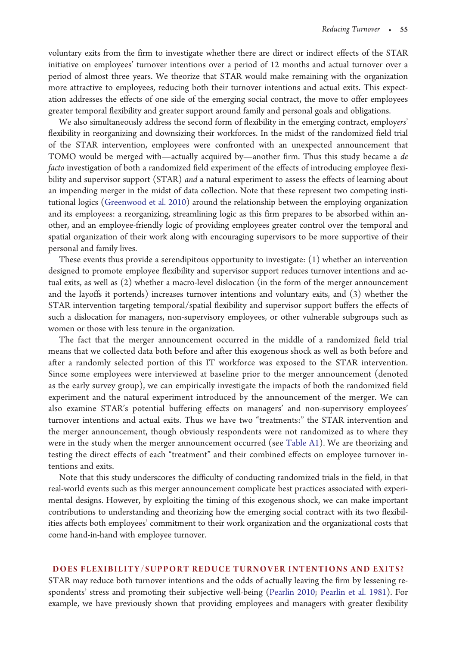voluntary exits from the firm to investigate whether there are direct or indirect effects of the STAR initiative on employees' turnover intentions over a period of 12 months and actual turnover over a period of almost three years. We theorize that STAR would make remaining with the organization more attractive to employees, reducing both their turnover intentions and actual exits. This expectation addresses the effects of one side of the emerging social contract, the move to offer employees greater temporal flexibility and greater support around family and personal goals and obligations.

We also simultaneously address the second form of flexibility in the emerging contract, employers' flexibility in reorganizing and downsizing their workforces. In the midst of the randomized field trial of the STAR intervention, employees were confronted with an unexpected announcement that TOMO would be merged with—actually acquired by—another firm. Thus this study became a de facto investigation of both a randomized field experiment of the effects of introducing employee flexibility and supervisor support (STAR) and a natural experiment to assess the effects of learning about an impending merger in the midst of data collection. Note that these represent two competing institutional logics (Greenwood et al. 2010) around the relationship between the employing organization and its employees: a reorganizing, streamlining logic as this firm prepares to be absorbed within another, and an employee-friendly logic of providing employees greater control over the temporal and spatial organization of their work along with encouraging supervisors to be more supportive of their personal and family lives.

These events thus provide a serendipitous opportunity to investigate: (1) whether an intervention designed to promote employee flexibility and supervisor support reduces turnover intentions and actual exits, as well as (2) whether a macro-level dislocation (in the form of the merger announcement and the layoffs it portends) increases turnover intentions and voluntary exits, and (3) whether the STAR intervention targeting temporal/spatial flexibility and supervisor support buffers the effects of such a dislocation for managers, non-supervisory employees, or other vulnerable subgroups such as women or those with less tenure in the organization.

The fact that the merger announcement occurred in the middle of a randomized field trial means that we collected data both before and after this exogenous shock as well as both before and after a randomly selected portion of this IT workforce was exposed to the STAR intervention. Since some employees were interviewed at baseline prior to the merger announcement (denoted as the early survey group), we can empirically investigate the impacts of both the randomized field experiment and the natural experiment introduced by the announcement of the merger. We can also examine STAR's potential buffering effects on managers' and non-supervisory employees' turnover intentions and actual exits. Thus we have two "treatments:" the STAR intervention and the merger announcement, though obviously respondents were not randomized as to where they were in the study when the merger announcement occurred (see Table A1). We are theorizing and testing the direct effects of each "treatment" and their combined effects on employee turnover intentions and exits.

Note that this study underscores the difficulty of conducting randomized trials in the field, in that real-world events such as this merger announcement complicate best practices associated with experimental designs. However, by exploiting the timing of this exogenous shock, we can make important contributions to understanding and theorizing how the emerging social contract with its two flexibilities affects both employees' commitment to their work organization and the organizational costs that come hand-in-hand with employee turnover.

#### DOES FLEXIBILITY/SUPPORT REDUCE TURNOVER INTENTIONS AND EXITS?

STAR may reduce both turnover intentions and the odds of actually leaving the firm by lessening respondents' stress and promoting their subjective well-being (Pearlin 2010; Pearlin et al. 1981). For example, we have previously shown that providing employees and managers with greater flexibility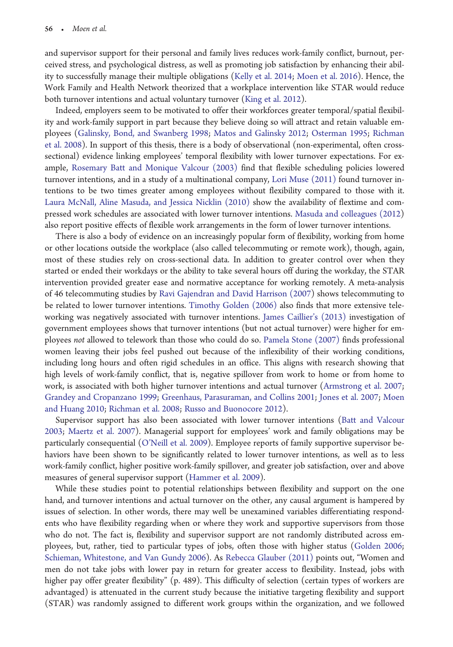and supervisor support for their personal and family lives reduces work-family conflict, burnout, perceived stress, and psychological distress, as well as promoting job satisfaction by enhancing their ability to successfully manage their multiple obligations (Kelly et al. 2014; Moen et al. 2016). Hence, the Work Family and Health Network theorized that a workplace intervention like STAR would reduce both turnover intentions and actual voluntary turnover (King et al. 2012).

Indeed, employers seem to be motivated to offer their workforces greater temporal/spatial flexibility and work-family support in part because they believe doing so will attract and retain valuable employees (Galinsky, Bond, and Swanberg 1998; Matos and Galinsky 2012; Osterman 1995; Richman et al. 2008). In support of this thesis, there is a body of observational (non-experimental, often crosssectional) evidence linking employees' temporal flexibility with lower turnover expectations. For example, Rosemary Batt and Monique Valcour (2003) find that flexible scheduling policies lowered turnover intentions, and in a study of a multinational company, Lori Muse (2011) found turnover intentions to be two times greater among employees without flexibility compared to those with it. Laura McNall, Aline Masuda, and Jessica Nicklin (2010) show the availability of flextime and compressed work schedules are associated with lower turnover intentions. Masuda and colleagues (2012) also report positive effects of flexible work arrangements in the form of lower turnover intentions.

There is also a body of evidence on an increasingly popular form of flexibility, working from home or other locations outside the workplace (also called telecommuting or remote work), though, again, most of these studies rely on cross-sectional data. In addition to greater control over when they started or ended their workdays or the ability to take several hours off during the workday, the STAR intervention provided greater ease and normative acceptance for working remotely. A meta-analysis of 46 telecommuting studies by Ravi Gajendran and David Harrison (2007) shows telecommuting to be related to lower turnover intentions. Timothy Golden (2006) also finds that more extensive teleworking was negatively associated with turnover intentions. James Caillier's (2013) investigation of government employees shows that turnover intentions (but not actual turnover) were higher for employees not allowed to telework than those who could do so. Pamela Stone (2007) finds professional women leaving their jobs feel pushed out because of the inflexibility of their working conditions, including long hours and often rigid schedules in an office. This aligns with research showing that high levels of work-family conflict, that is, negative spillover from work to home or from home to work, is associated with both higher turnover intentions and actual turnover (Armstrong et al. 2007; Grandey and Cropanzano 1999; Greenhaus, Parasuraman, and Collins 2001; Jones et al. 2007; Moen and Huang 2010; Richman et al. 2008; Russo and Buonocore 2012).

Supervisor support has also been associated with lower turnover intentions (Batt and Valcour 2003; Maertz et al. 2007). Managerial support for employees' work and family obligations may be particularly consequential (O'Neill et al. 2009). Employee reports of family supportive supervisor behaviors have been shown to be significantly related to lower turnover intentions, as well as to less work-family conflict, higher positive work-family spillover, and greater job satisfaction, over and above measures of general supervisor support (Hammer et al. 2009).

While these studies point to potential relationships between flexibility and support on the one hand, and turnover intentions and actual turnover on the other, any causal argument is hampered by issues of selection. In other words, there may well be unexamined variables differentiating respondents who have flexibility regarding when or where they work and supportive supervisors from those who do not. The fact is, flexibility and supervisor support are not randomly distributed across employees, but, rather, tied to particular types of jobs, often those with higher status (Golden 2006; Schieman, Whitestone, and Van Gundy 2006). As Rebecca Glauber (2011) points out, "Women and men do not take jobs with lower pay in return for greater access to flexibility. Instead, jobs with higher pay offer greater flexibility" (p. 489). This difficulty of selection (certain types of workers are advantaged) is attenuated in the current study because the initiative targeting flexibility and support (STAR) was randomly assigned to different work groups within the organization, and we followed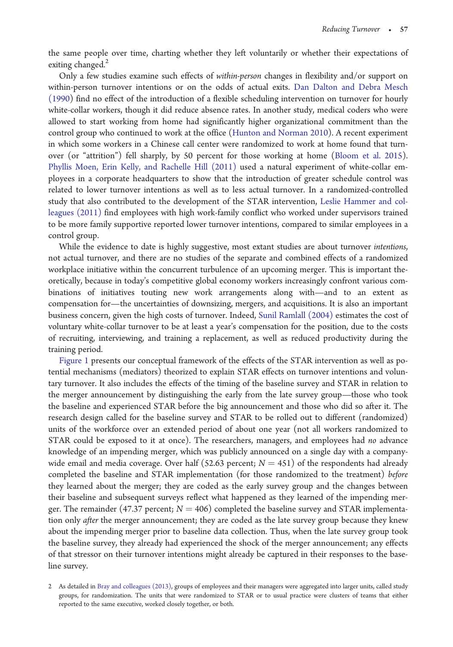the same people over time, charting whether they left voluntarily or whether their expectations of exiting changed. $2$ 

Only a few studies examine such effects of within-person changes in flexibility and/or support on within-person turnover intentions or on the odds of actual exits. Dan Dalton and Debra Mesch (1990) find no effect of the introduction of a flexible scheduling intervention on turnover for hourly white-collar workers, though it did reduce absence rates. In another study, medical coders who were allowed to start working from home had significantly higher organizational commitment than the control group who continued to work at the office (Hunton and Norman 2010). A recent experiment in which some workers in a Chinese call center were randomized to work at home found that turnover (or "attrition") fell sharply, by 50 percent for those working at home (Bloom et al. 2015). Phyllis Moen, Erin Kelly, and Rachelle Hill (2011) used a natural experiment of white-collar employees in a corporate headquarters to show that the introduction of greater schedule control was related to lower turnover intentions as well as to less actual turnover. In a randomized-controlled study that also contributed to the development of the STAR intervention, Leslie Hammer and colleagues (2011) find employees with high work-family conflict who worked under supervisors trained to be more family supportive reported lower turnover intentions, compared to similar employees in a control group.

While the evidence to date is highly suggestive, most extant studies are about turnover intentions, not actual turnover, and there are no studies of the separate and combined effects of a randomized workplace initiative within the concurrent turbulence of an upcoming merger. This is important theoretically, because in today's competitive global economy workers increasingly confront various combinations of initiatives touting new work arrangements along with—and to an extent as compensation for—the uncertainties of downsizing, mergers, and acquisitions. It is also an important business concern, given the high costs of turnover. Indeed, Sunil Ramlall (2004) estimates the cost of voluntary white-collar turnover to be at least a year's compensation for the position, due to the costs of recruiting, interviewing, and training a replacement, as well as reduced productivity during the training period.

Figure 1 presents our conceptual framework of the effects of the STAR intervention as well as potential mechanisms (mediators) theorized to explain STAR effects on turnover intentions and voluntary turnover. It also includes the effects of the timing of the baseline survey and STAR in relation to the merger announcement by distinguishing the early from the late survey group—those who took the baseline and experienced STAR before the big announcement and those who did so after it. The research design called for the baseline survey and STAR to be rolled out to different (randomized) units of the workforce over an extended period of about one year (not all workers randomized to STAR could be exposed to it at once). The researchers, managers, and employees had no advance knowledge of an impending merger, which was publicly announced on a single day with a companywide email and media coverage. Over half (52.63 percent;  $N = 451$ ) of the respondents had already completed the baseline and STAR implementation (for those randomized to the treatment) before they learned about the merger; they are coded as the early survey group and the changes between their baseline and subsequent surveys reflect what happened as they learned of the impending merger. The remainder (47.37 percent;  $N = 406$ ) completed the baseline survey and STAR implementation only *after* the merger announcement; they are coded as the late survey group because they knew about the impending merger prior to baseline data collection. Thus, when the late survey group took the baseline survey, they already had experienced the shock of the merger announcement; any effects of that stressor on their turnover intentions might already be captured in their responses to the baseline survey.

<sup>2</sup> As detailed in Bray and colleagues (2013), groups of employees and their managers were aggregated into larger units, called study groups, for randomization. The units that were randomized to STAR or to usual practice were clusters of teams that either reported to the same executive, worked closely together, or both.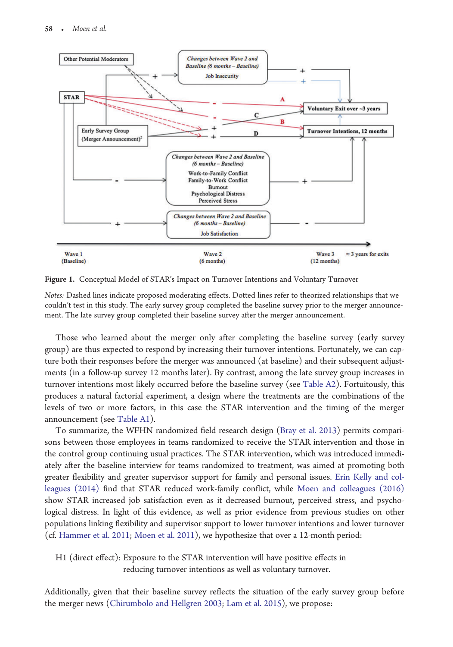

Figure 1. Conceptual Model of STAR's Impact on Turnover Intentions and Voluntary Turnover

Notes: Dashed lines indicate proposed moderating effects. Dotted lines refer to theorized relationships that we couldn't test in this study. The early survey group completed the baseline survey prior to the merger announcement. The late survey group completed their baseline survey after the merger announcement.

Those who learned about the merger only after completing the baseline survey (early survey group) are thus expected to respond by increasing their turnover intentions. Fortunately, we can capture both their responses before the merger was announced (at baseline) and their subsequent adjustments (in a follow-up survey 12 months later). By contrast, among the late survey group increases in turnover intentions most likely occurred before the baseline survey (see Table A2). Fortuitously, this produces a natural factorial experiment, a design where the treatments are the combinations of the levels of two or more factors, in this case the STAR intervention and the timing of the merger announcement (see Table A1).

To summarize, the WFHN randomized field research design (Bray et al. 2013) permits comparisons between those employees in teams randomized to receive the STAR intervention and those in the control group continuing usual practices. The STAR intervention, which was introduced immediately after the baseline interview for teams randomized to treatment, was aimed at promoting both greater flexibility and greater supervisor support for family and personal issues. Erin Kelly and colleagues (2014) find that STAR reduced work-family conflict, while Moen and colleagues (2016) show STAR increased job satisfaction even as it decreased burnout, perceived stress, and psychological distress. In light of this evidence, as well as prior evidence from previous studies on other populations linking flexibility and supervisor support to lower turnover intentions and lower turnover (cf. Hammer et al. 2011; Moen et al. 2011), we hypothesize that over a 12-month period:

H1 (direct effect): Exposure to the STAR intervention will have positive effects in reducing turnover intentions as well as voluntary turnover.

Additionally, given that their baseline survey reflects the situation of the early survey group before the merger news (Chirumbolo and Hellgren 2003; Lam et al. 2015), we propose: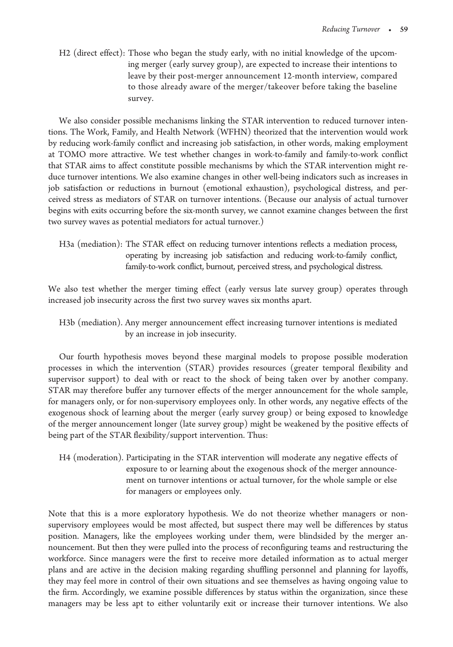H2 (direct effect): Those who began the study early, with no initial knowledge of the upcoming merger (early survey group), are expected to increase their intentions to leave by their post-merger announcement 12-month interview, compared to those already aware of the merger/takeover before taking the baseline survey.

We also consider possible mechanisms linking the STAR intervention to reduced turnover intentions. The Work, Family, and Health Network (WFHN) theorized that the intervention would work by reducing work-family conflict and increasing job satisfaction, in other words, making employment at TOMO more attractive. We test whether changes in work-to-family and family-to-work conflict that STAR aims to affect constitute possible mechanisms by which the STAR intervention might reduce turnover intentions. We also examine changes in other well-being indicators such as increases in job satisfaction or reductions in burnout (emotional exhaustion), psychological distress, and perceived stress as mediators of STAR on turnover intentions. (Because our analysis of actual turnover begins with exits occurring before the six-month survey, we cannot examine changes between the first two survey waves as potential mediators for actual turnover.)

H3a (mediation): The STAR effect on reducing turnover intentions reflects a mediation process, operating by increasing job satisfaction and reducing work-to-family conflict, family-to-work conflict, burnout, perceived stress, and psychological distress.

We also test whether the merger timing effect (early versus late survey group) operates through increased job insecurity across the first two survey waves six months apart.

H3b (mediation). Any merger announcement effect increasing turnover intentions is mediated by an increase in job insecurity.

Our fourth hypothesis moves beyond these marginal models to propose possible moderation processes in which the intervention (STAR) provides resources (greater temporal flexibility and supervisor support) to deal with or react to the shock of being taken over by another company. STAR may therefore buffer any turnover effects of the merger announcement for the whole sample, for managers only, or for non-supervisory employees only. In other words, any negative effects of the exogenous shock of learning about the merger (early survey group) or being exposed to knowledge of the merger announcement longer (late survey group) might be weakened by the positive effects of being part of the STAR flexibility/support intervention. Thus:

H4 (moderation). Participating in the STAR intervention will moderate any negative effects of exposure to or learning about the exogenous shock of the merger announcement on turnover intentions or actual turnover, for the whole sample or else for managers or employees only.

Note that this is a more exploratory hypothesis. We do not theorize whether managers or nonsupervisory employees would be most affected, but suspect there may well be differences by status position. Managers, like the employees working under them, were blindsided by the merger announcement. But then they were pulled into the process of reconfiguring teams and restructuring the workforce. Since managers were the first to receive more detailed information as to actual merger plans and are active in the decision making regarding shuffling personnel and planning for layoffs, they may feel more in control of their own situations and see themselves as having ongoing value to the firm. Accordingly, we examine possible differences by status within the organization, since these managers may be less apt to either voluntarily exit or increase their turnover intentions. We also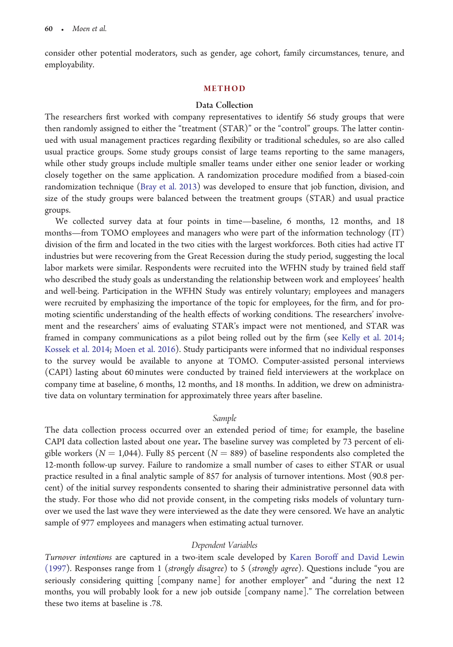consider other potential moderators, such as gender, age cohort, family circumstances, tenure, and employability.

#### METHOD

#### Data Collection

The researchers first worked with company representatives to identify 56 study groups that were then randomly assigned to either the "treatment (STAR)" or the "control" groups. The latter continued with usual management practices regarding flexibility or traditional schedules, so are also called usual practice groups. Some study groups consist of large teams reporting to the same managers, while other study groups include multiple smaller teams under either one senior leader or working closely together on the same application. A randomization procedure modified from a biased-coin randomization technique (Bray et al. 2013) was developed to ensure that job function, division, and size of the study groups were balanced between the treatment groups (STAR) and usual practice groups.

We collected survey data at four points in time—baseline, 6 months, 12 months, and 18 months—from TOMO employees and managers who were part of the information technology (IT) division of the firm and located in the two cities with the largest workforces. Both cities had active IT industries but were recovering from the Great Recession during the study period, suggesting the local labor markets were similar. Respondents were recruited into the WFHN study by trained field staff who described the study goals as understanding the relationship between work and employees' health and well-being. Participation in the WFHN Study was entirely voluntary; employees and managers were recruited by emphasizing the importance of the topic for employees, for the firm, and for promoting scientific understanding of the health effects of working conditions. The researchers' involvement and the researchers' aims of evaluating STAR's impact were not mentioned, and STAR was framed in company communications as a pilot being rolled out by the firm (see Kelly et al. 2014; Kossek et al. 2014; Moen et al. 2016). Study participants were informed that no individual responses to the survey would be available to anyone at TOMO. Computer-assisted personal interviews (CAPI) lasting about 60 minutes were conducted by trained field interviewers at the workplace on company time at baseline, 6 months, 12 months, and 18 months. In addition, we drew on administrative data on voluntary termination for approximately three years after baseline.

#### Sample

The data collection process occurred over an extended period of time; for example, the baseline CAPI data collection lasted about one year. The baseline survey was completed by 73 percent of eligible workers ( $N = 1,044$ ). Fully 85 percent ( $N = 889$ ) of baseline respondents also completed the 12-month follow-up survey. Failure to randomize a small number of cases to either STAR or usual practice resulted in a final analytic sample of 857 for analysis of turnover intentions. Most (90.8 percent) of the initial survey respondents consented to sharing their administrative personnel data with the study. For those who did not provide consent, in the competing risks models of voluntary turnover we used the last wave they were interviewed as the date they were censored. We have an analytic sample of 977 employees and managers when estimating actual turnover.

#### Dependent Variables

Turnover intentions are captured in a two-item scale developed by Karen Boroff and David Lewin (1997). Responses range from 1 (strongly disagree) to 5 (strongly agree). Questions include "you are seriously considering quitting [company name] for another employer" and "during the next 12 months, you will probably look for a new job outside [company name]." The correlation between these two items at baseline is .78.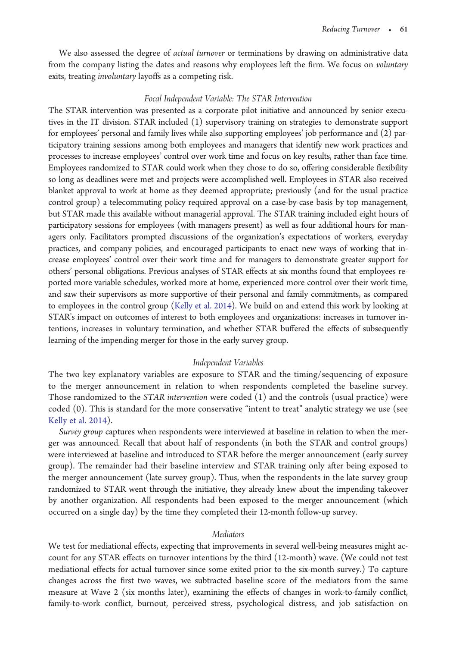We also assessed the degree of *actual turnover* or terminations by drawing on administrative data from the company listing the dates and reasons why employees left the firm. We focus on voluntary exits, treating involuntary layoffs as a competing risk.

#### Focal Independent Variable: The STAR Intervention

The STAR intervention was presented as a corporate pilot initiative and announced by senior executives in the IT division. STAR included (1) supervisory training on strategies to demonstrate support for employees' personal and family lives while also supporting employees' job performance and (2) participatory training sessions among both employees and managers that identify new work practices and processes to increase employees' control over work time and focus on key results, rather than face time. Employees randomized to STAR could work when they chose to do so, offering considerable flexibility so long as deadlines were met and projects were accomplished well. Employees in STAR also received blanket approval to work at home as they deemed appropriate; previously (and for the usual practice control group) a telecommuting policy required approval on a case-by-case basis by top management, but STAR made this available without managerial approval. The STAR training included eight hours of participatory sessions for employees (with managers present) as well as four additional hours for managers only. Facilitators prompted discussions of the organization's expectations of workers, everyday practices, and company policies, and encouraged participants to enact new ways of working that increase employees' control over their work time and for managers to demonstrate greater support for others' personal obligations. Previous analyses of STAR effects at six months found that employees reported more variable schedules, worked more at home, experienced more control over their work time, and saw their supervisors as more supportive of their personal and family commitments, as compared to employees in the control group (Kelly et al. 2014). We build on and extend this work by looking at STAR's impact on outcomes of interest to both employees and organizations: increases in turnover intentions, increases in voluntary termination, and whether STAR buffered the effects of subsequently learning of the impending merger for those in the early survey group.

#### Independent Variables

The two key explanatory variables are exposure to STAR and the timing/sequencing of exposure to the merger announcement in relation to when respondents completed the baseline survey. Those randomized to the STAR intervention were coded (1) and the controls (usual practice) were coded (0). This is standard for the more conservative "intent to treat" analytic strategy we use (see Kelly et al. 2014).

Survey group captures when respondents were interviewed at baseline in relation to when the merger was announced. Recall that about half of respondents (in both the STAR and control groups) were interviewed at baseline and introduced to STAR before the merger announcement (early survey group). The remainder had their baseline interview and STAR training only after being exposed to the merger announcement (late survey group). Thus, when the respondents in the late survey group randomized to STAR went through the initiative, they already knew about the impending takeover by another organization. All respondents had been exposed to the merger announcement (which occurred on a single day) by the time they completed their 12-month follow-up survey.

#### Mediators

We test for mediational effects, expecting that improvements in several well-being measures might account for any STAR effects on turnover intentions by the third (12-month) wave. (We could not test mediational effects for actual turnover since some exited prior to the six-month survey.) To capture changes across the first two waves, we subtracted baseline score of the mediators from the same measure at Wave 2 (six months later), examining the effects of changes in work-to-family conflict, family-to-work conflict, burnout, perceived stress, psychological distress, and job satisfaction on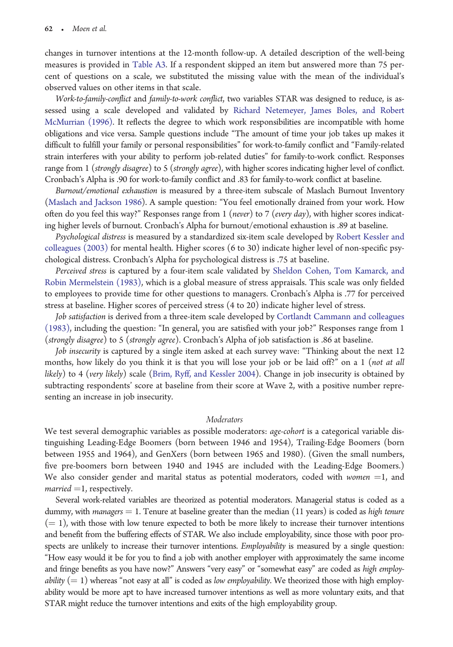changes in turnover intentions at the 12-month follow-up. A detailed description of the well-being measures is provided in Table A3. If a respondent skipped an item but answered more than 75 percent of questions on a scale, we substituted the missing value with the mean of the individual's observed values on other items in that scale.

Work-to-family-conflict and family-to-work conflict, two variables STAR was designed to reduce, is assessed using a scale developed and validated by Richard Netemeyer, James Boles, and Robert McMurrian (1996). It reflects the degree to which work responsibilities are incompatible with home obligations and vice versa. Sample questions include "The amount of time your job takes up makes it difficult to fulfill your family or personal responsibilities" for work-to-family conflict and "Family-related strain interferes with your ability to perform job-related duties" for family-to-work conflict. Responses range from 1 (strongly disagree) to 5 (strongly agree), with higher scores indicating higher level of conflict. Cronbach's Alpha is .90 for work-to-family conflict and .83 for family-to-work conflict at baseline.

Burnout/emotional exhaustion is measured by a three-item subscale of Maslach Burnout Inventory (Maslach and Jackson 1986). A sample question: "You feel emotionally drained from your work. How often do you feel this way?" Responses range from 1 (never) to 7 (every day), with higher scores indicating higher levels of burnout. Cronbach's Alpha for burnout/emotional exhaustion is .89 at baseline.

Psychological distress is measured by a standardized six-item scale developed by Robert Kessler and colleagues (2003) for mental health. Higher scores (6 to 30) indicate higher level of non-specific psychological distress. Cronbach's Alpha for psychological distress is .75 at baseline.

Perceived stress is captured by a four-item scale validated by Sheldon Cohen, Tom Kamarck, and Robin Mermelstein (1983), which is a global measure of stress appraisals. This scale was only fielded to employees to provide time for other questions to managers. Cronbach's Alpha is .77 for perceived stress at baseline. Higher scores of perceived stress (4 to 20) indicate higher level of stress.

Job satisfaction is derived from a three-item scale developed by Cortlandt Cammann and colleagues (1983), including the question: "In general, you are satisfied with your job?" Responses range from 1 (strongly disagree) to 5 (strongly agree). Cronbach's Alpha of job satisfaction is .86 at baseline.

Job insecurity is captured by a single item asked at each survey wave: "Thinking about the next 12 months, how likely do you think it is that you will lose your job or be laid off?" on a 1 (not at all likely) to 4 (very likely) scale (Brim, Ryff, and Kessler 2004). Change in job insecurity is obtained by subtracting respondents' score at baseline from their score at Wave 2, with a positive number representing an increase in job insecurity.

#### Moderators

We test several demographic variables as possible moderators: age-cohort is a categorical variable distinguishing Leading-Edge Boomers (born between 1946 and 1954), Trailing-Edge Boomers (born between 1955 and 1964), and GenXers (born between 1965 and 1980). (Given the small numbers, five pre-boomers born between 1940 and 1945 are included with the Leading-Edge Boomers.) We also consider gender and marital status as potential moderators, coded with women  $=1$ , and married  $=$  1, respectively.

Several work-related variables are theorized as potential moderators. Managerial status is coded as a dummy, with *managers*  $= 1$ . Tenure at baseline greater than the median (11 years) is coded as *high tenure*  $(= 1)$ , with those with low tenure expected to both be more likely to increase their turnover intentions and benefit from the buffering effects of STAR. We also include employability, since those with poor prospects are unlikely to increase their turnover intentions. Employability is measured by a single question: "How easy would it be for you to find a job with another employer with approximately the same income and fringe benefits as you have now?" Answers "very easy" or "somewhat easy" are coded as high employ*ability*  $(= 1)$  whereas "not easy at all" is coded as low employability. We theorized those with high employability would be more apt to have increased turnover intentions as well as more voluntary exits, and that STAR might reduce the turnover intentions and exits of the high employability group.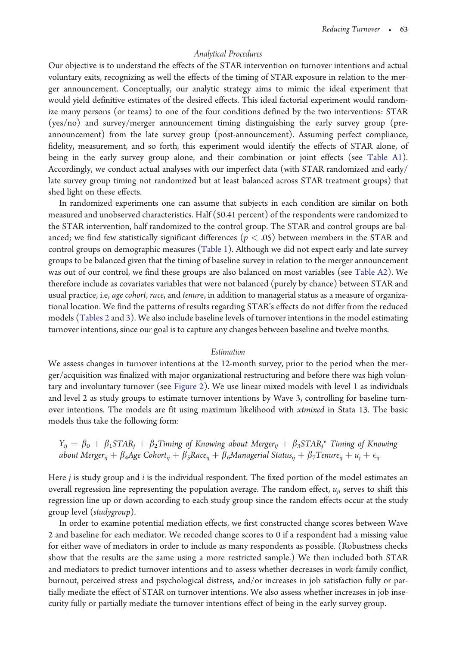#### Analytical Procedures

Our objective is to understand the effects of the STAR intervention on turnover intentions and actual voluntary exits, recognizing as well the effects of the timing of STAR exposure in relation to the merger announcement. Conceptually, our analytic strategy aims to mimic the ideal experiment that would yield definitive estimates of the desired effects. This ideal factorial experiment would randomize many persons (or teams) to one of the four conditions defined by the two interventions: STAR (yes/no) and survey/merger announcement timing distinguishing the early survey group (preannouncement) from the late survey group (post-announcement). Assuming perfect compliance, fidelity, measurement, and so forth, this experiment would identify the effects of STAR alone, of being in the early survey group alone, and their combination or joint effects (see Table A1). Accordingly, we conduct actual analyses with our imperfect data (with STAR randomized and early/ late survey group timing not randomized but at least balanced across STAR treatment groups) that shed light on these effects.

In randomized experiments one can assume that subjects in each condition are similar on both measured and unobserved characteristics. Half (50.41 percent) of the respondents were randomized to the STAR intervention, half randomized to the control group. The STAR and control groups are balanced; we find few statistically significant differences ( $p < .05$ ) between members in the STAR and control groups on demographic measures (Table 1). Although we did not expect early and late survey groups to be balanced given that the timing of baseline survey in relation to the merger announcement was out of our control, we find these groups are also balanced on most variables (see Table A2). We therefore include as covariates variables that were not balanced (purely by chance) between STAR and usual practice, i.e, age cohort, race, and tenure, in addition to managerial status as a measure of organizational location. We find the patterns of results regarding STAR's effects do not differ from the reduced models (Tables 2 and 3). We also include baseline levels of turnover intentions in the model estimating turnover intentions, since our goal is to capture any changes between baseline and twelve months.

#### Estimation

We assess changes in turnover intentions at the 12-month survey, prior to the period when the merger/acquisition was finalized with major organizational restructuring and before there was high voluntary and involuntary turnover (see Figure 2). We use linear mixed models with level 1 as individuals and level 2 as study groups to estimate turnover intentions by Wave 3, controlling for baseline turnover intentions. The models are fit using maximum likelihood with xtmixed in Stata 13. The basic models thus take the following form:

$$
Y_{ij} = \beta_0 + \beta_1
$$
STAR<sub>j</sub> +  $\beta_2$ Timing of Knowing about Merger<sub>ij</sub> +  $\beta_3$ STAR<sub>j</sub><sup>\*</sup> Timing of Knowing about Merger<sub>ij</sub> +  $\beta_4$ Age Cohort<sub>ij</sub> +  $\beta_5$ Race<sub>ij</sub> +  $\beta_6$ Management Status<sub>ij</sub> +  $\beta_7$ Tenure<sub>ij</sub> +  $u_j$  +  $\epsilon_{ij}$ 

Here  $j$  is study group and  $i$  is the individual respondent. The fixed portion of the model estimates an overall regression line representing the population average. The random effect,  $u_j$ , serves to shift this regression line up or down according to each study group since the random effects occur at the study group level (studygroup).

In order to examine potential mediation effects, we first constructed change scores between Wave 2 and baseline for each mediator. We recoded change scores to 0 if a respondent had a missing value for either wave of mediators in order to include as many respondents as possible. (Robustness checks show that the results are the same using a more restricted sample.) We then included both STAR and mediators to predict turnover intentions and to assess whether decreases in work-family conflict, burnout, perceived stress and psychological distress, and/or increases in job satisfaction fully or partially mediate the effect of STAR on turnover intentions. We also assess whether increases in job insecurity fully or partially mediate the turnover intentions effect of being in the early survey group.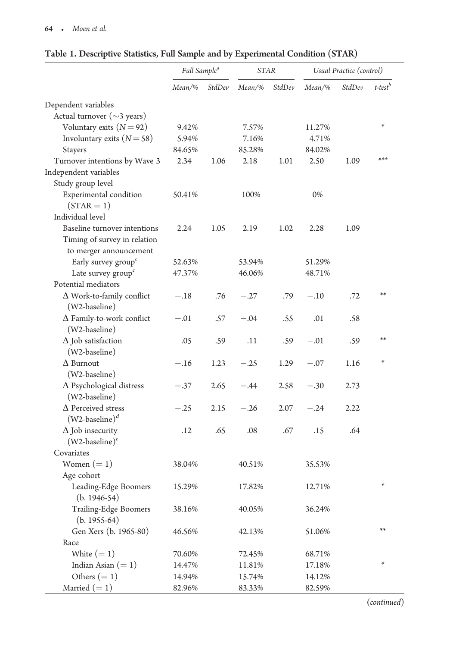|                                                                                        | Full Sample <sup>a</sup> |        | <b>STAR</b> |        |          | Usual Practice (control) |                |  |
|----------------------------------------------------------------------------------------|--------------------------|--------|-------------|--------|----------|--------------------------|----------------|--|
|                                                                                        | Mean/%                   | StdDev | $Mean$ %    | StdDev | $Mean$ % | StdDev                   | $t$ -test $^b$ |  |
| Dependent variables                                                                    |                          |        |             |        |          |                          |                |  |
| Actual turnover ( $\sim$ 3 years)                                                      |                          |        |             |        |          |                          |                |  |
| Voluntary exits $(N = 92)$                                                             | 9.42%                    |        | 7.57%       |        | 11.27%   |                          | ∗              |  |
| Involuntary exits $(N = 58)$                                                           | 5.94%                    |        | 7.16%       |        | 4.71%    |                          |                |  |
| Stayers                                                                                | 84.65%                   |        | 85.28%      |        | 84.02%   |                          |                |  |
| Turnover intentions by Wave 3                                                          | 2.34                     | 1.06   | 2.18        | 1.01   | 2.50     | 1.09                     | ***            |  |
| Independent variables                                                                  |                          |        |             |        |          |                          |                |  |
| Study group level                                                                      |                          |        |             |        |          |                          |                |  |
| Experimental condition<br>$(STAR = 1)$                                                 | 50.41%                   |        | 100%        |        | 0%       |                          |                |  |
| Individual level                                                                       |                          |        |             |        |          |                          |                |  |
| Baseline turnover intentions<br>Timing of survey in relation<br>to merger announcement | 2.24                     | 1.05   | 2.19        | 1.02   | 2.28     | 1.09                     |                |  |
| Early survey group <sup>c</sup>                                                        | 52.63%                   |        | 53.94%      |        | 51.29%   |                          |                |  |
| Late survey group <sup>c</sup>                                                         | 47.37%                   |        | 46.06%      |        | 48.71%   |                          |                |  |
| Potential mediators                                                                    |                          |        |             |        |          |                          |                |  |
| $\Delta$ Work-to-family conflict<br>(W2-baseline)                                      | $-.18$                   | .76    | $-.27$      | .79    | $-.10$   | .72                      | $**$           |  |
| $\Delta$ Family-to-work conflict<br>(W2-baseline)                                      | $-.01$                   | .57    | $-.04$      | .55    | .01      | .58                      |                |  |
| $\Delta$ Job satisfaction<br>(W2-baseline)                                             | .05                      | .59    | .11         | .59    | $-.01$   | .59                      | $**$           |  |
| $\Delta$ Burnout<br>(W2-baseline)                                                      | $-.16$                   | 1.23   | $-.25$      | 1.29   | $-.07$   | 1.16                     | $\ast$         |  |
| $\Delta$ Psychological distress<br>(W2-baseline)                                       | $-.37$                   | 2.65   | $-.44$      | 2.58   | $-.30$   | 2.73                     |                |  |
| $\Delta$ Perceived stress                                                              | $-.25$                   | 2.15   | $-.26$      | 2.07   | $-.24$   | 2.22                     |                |  |
| $(W2-baseline)^d$                                                                      |                          |        |             |        |          |                          |                |  |
| $\Delta$ Job insecurity<br>$(W2-baseline)^e$                                           | .12                      | .65    | .08         | .67    | .15      | .64                      |                |  |
| Covariates                                                                             |                          |        |             |        |          |                          |                |  |
| Women $(= 1)$                                                                          | 38.04%                   |        | 40.51%      |        | 35.53%   |                          |                |  |
| Age cohort                                                                             |                          |        |             |        |          |                          |                |  |
| Leading-Edge Boomers<br>$(b. 1946-54)$                                                 | 15.29%                   |        | 17.82%      |        | 12.71%   |                          | $\ast$         |  |
| <b>Trailing-Edge Boomers</b><br>$(b. 1955-64)$                                         | 38.16%                   |        | 40.05%      |        | 36.24%   |                          |                |  |
| Gen Xers (b. 1965-80)                                                                  | 46.56%                   |        | 42.13%      |        | 51.06%   |                          | $**$           |  |
| Race                                                                                   |                          |        |             |        |          |                          |                |  |
| White $(= 1)$                                                                          | 70.60%                   |        | 72.45%      |        | 68.71%   |                          |                |  |
| Indian Asian $(= 1)$                                                                   | 14.47%                   |        | 11.81%      |        | 17.18%   |                          | ∗              |  |
| Others $(= 1)$                                                                         | 14.94%                   |        | 15.74%      |        | 14.12%   |                          |                |  |
| Married $(= 1)$                                                                        | 82.96%                   |        | 83.33%      |        | 82.59%   |                          |                |  |

Table 1. Descriptive Statistics, Full Sample and by Experimental Condition (STAR)

(continued)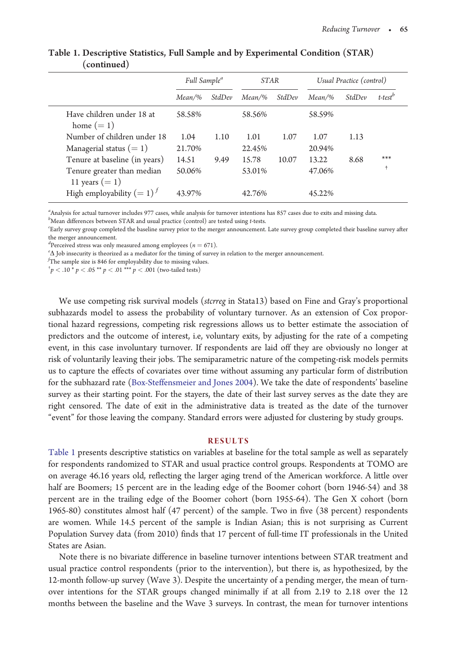|                                                                                 | Full Sample <sup>a</sup> |        | <b>STAR</b>     |        |                 | Usual Practice (control) |                        |
|---------------------------------------------------------------------------------|--------------------------|--------|-----------------|--------|-----------------|--------------------------|------------------------|
|                                                                                 | Mean/%                   | StdDev | $Mean\%$        | StdDev | $Mean\%$        | StdDev                   | $t$ -test <sup>b</sup> |
| Have children under 18 at<br>home $(= 1)$                                       | 58.58%                   |        | 58.56%          |        | 58.59%          |                          |                        |
| Number of children under 18<br>Managerial status $(=1)$                         | 1.04<br>21.70%           | 1.10   | 1.01<br>22.45%  | 1.07   | 1.07<br>20.94%  | 1.13                     |                        |
| Tenure at baseline (in years)<br>Tenure greater than median<br>11 years $(= 1)$ | 14.51<br>50.06%          | 9.49   | 15.78<br>53.01% | 10.07  | 13.22<br>47.06% | 8.68                     | ***<br>$^{+}$          |
| High employability $(= 1)^f$                                                    | 43.97%                   |        | 42.76%          |        | 45.22%          |                          |                        |

#### Table 1. Descriptive Statistics, Full Sample and by Experimental Condition (STAR) (continued)

a Analysis for actual turnover includes 977 cases, while analysis for turnover intentions has 857 cases due to exits and missing data.

 $b^b$ Mean differences between STAR and usual practice (control) are tested using *t*-tests.

Early survey group completed the baseline survey prior to the merger announcement. Late survey group completed their baseline survey after the merger announcement.

<sup>d</sup>Perceived stress was only measured among employees ( $n = 671$ ).

 ${}^{\epsilon}\Delta$  Job insecurity is theorized as a mediator for the timing of survey in relation to the merger announcement.

The sample size is 846 for employability due to missing values.

 $^{\dagger}p < .10$   $^{\ast}p < .05$   $^{\ast\ast}p < .01$   $^{\ast\ast\ast}p < .001$  (two-tailed tests)

We use competing risk survival models (stcrreg in Stata13) based on Fine and Gray's proportional subhazards model to assess the probability of voluntary turnover. As an extension of Cox proportional hazard regressions, competing risk regressions allows us to better estimate the association of predictors and the outcome of interest, i.e, voluntary exits, by adjusting for the rate of a competing event, in this case involuntary turnover. If respondents are laid off they are obviously no longer at risk of voluntarily leaving their jobs. The semiparametric nature of the competing-risk models permits us to capture the effects of covariates over time without assuming any particular form of distribution for the subhazard rate (Box-Steffensmeier and Jones 2004). We take the date of respondents' baseline survey as their starting point. For the stayers, the date of their last survey serves as the date they are right censored. The date of exit in the administrative data is treated as the date of the turnover "event" for those leaving the company. Standard errors were adjusted for clustering by study groups.

#### RESULTS

Table 1 presents descriptive statistics on variables at baseline for the total sample as well as separately for respondents randomized to STAR and usual practice control groups. Respondents at TOMO are on average 46.16 years old, reflecting the larger aging trend of the American workforce. A little over half are Boomers; 15 percent are in the leading edge of the Boomer cohort (born 1946-54) and 38 percent are in the trailing edge of the Boomer cohort (born 1955-64). The Gen X cohort (born 1965-80) constitutes almost half (47 percent) of the sample. Two in five (38 percent) respondents are women. While 14.5 percent of the sample is Indian Asian; this is not surprising as Current Population Survey data (from 2010) finds that 17 percent of full-time IT professionals in the United States are Asian.

Note there is no bivariate difference in baseline turnover intentions between STAR treatment and usual practice control respondents (prior to the intervention), but there is, as hypothesized, by the 12-month follow-up survey (Wave 3). Despite the uncertainty of a pending merger, the mean of turnover intentions for the STAR groups changed minimally if at all from 2.19 to 2.18 over the 12 months between the baseline and the Wave 3 surveys. In contrast, the mean for turnover intentions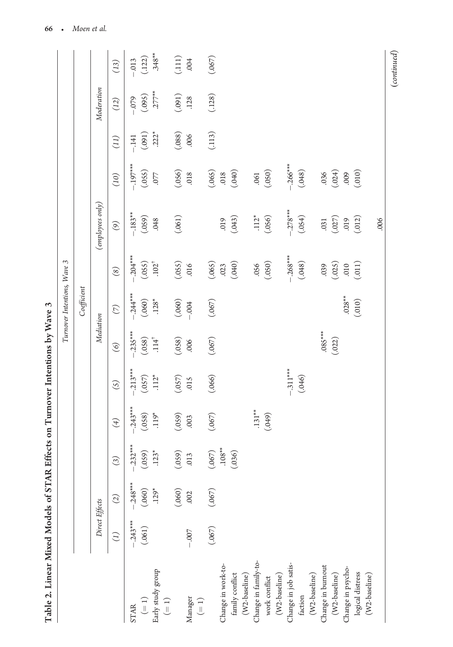|                                             |                |                 |                     |                                   |                 |                | Turnover Intentions, Wave 3 |               |                                                             |            |        |            |          |
|---------------------------------------------|----------------|-----------------|---------------------|-----------------------------------|-----------------|----------------|-----------------------------|---------------|-------------------------------------------------------------|------------|--------|------------|----------|
|                                             |                |                 |                     |                                   |                 |                | Coefficient                 |               |                                                             |            |        |            |          |
|                                             | Direct Effects |                 |                     |                                   |                 | Mediation      |                             |               | (employees only)                                            |            |        | Moderation |          |
|                                             | $\bigcirc$     | $\widetilde{c}$ | $\odot$             | $\begin{pmatrix} 4 \end{pmatrix}$ | $\widetilde{S}$ | $\circledcirc$ | $\bigcirc$                  | $\circled{s}$ | $\odot$                                                     | $(01)$     | (11)   | (12)       | $(13)$   |
| <b>STAR</b>                                 | $-0.243***$    | $-.248***$      | $-.232***$          | $-.243***$                        | $-0.213***$     | $-.235***$     | $-.244***$                  | $-204***$     | $-183**$                                                    | $-.197***$ | $-141$ | $-0.079$   | $-.013$  |
| $(=1)$                                      | (.061)         | (.060)          | $(.059)$<br>$.123*$ | (.058)                            | (.057)          | (.058)         | (.060)                      | (.055)        | (0.59)                                                      | (.055)     | (.091) | (.095)     | (.122)   |
| Early study group $(=1)$                    |                | $.129*$         |                     | $119*$                            | $.112*$         | $114^{+}$      | $.128*$                     | $102^{+}$     | .048                                                        | $077$      | $222*$ | $.277***$  | $.348**$ |
|                                             |                | (.060)          | (.059)              | (.059)                            | (057)           | (.058)         | (.060)                      | (.055)        | (.061)                                                      | (.056)     | (.088) | (.091)     | (111)    |
| Manager<br>$(=1)$                           | $-007$         | .002            | .013                | .003                              | 015             | .006           | $-0.004$                    | 016           |                                                             | $018$      | 006    | .128       | .004     |
|                                             | (.067)         | (.067)          | (.067)              | (.067)                            | (.066)          | (.067)         | (.067)                      | (.065)        |                                                             | (.065)     | (.113) | (.128)     | (.067)   |
| Change in work-to-                          |                |                 | $.108**$            |                                   |                 |                |                             | .023          | 019                                                         | $018$      |        |            |          |
| family conflict                             |                |                 | (.036)              |                                   |                 |                |                             | (.040)        | (.043)                                                      | $(0 + 0)$  |        |            |          |
| $(W2-baseline)$                             |                |                 |                     |                                   |                 |                |                             |               |                                                             |            |        |            |          |
| Change in family-to-                        |                |                 |                     | $131**$                           |                 |                |                             | .056          | $.112*$                                                     | .061       |        |            |          |
| work conflict                               |                |                 |                     | (.049)                            |                 |                |                             | (0.50)        | (0.056)                                                     | (.050)     |        |            |          |
| $\left( \mathrm{W2\text{-}baseline}\right)$ |                |                 |                     |                                   |                 |                |                             |               |                                                             |            |        |            |          |
| Change in job satis-                        |                |                 |                     |                                   | $-.311***$      |                |                             | $-268***$     | $-278***$                                                   | $-.266***$ |        |            |          |
| $\operatorname{factor}$                     |                |                 |                     |                                   | (.046)          |                |                             | (0.48)        | (0.054)                                                     | (.048)     |        |            |          |
| $(W2-baseline)$                             |                |                 |                     |                                   |                 |                |                             |               |                                                             |            |        |            |          |
| Change in burnout                           |                |                 |                     |                                   |                 | $.085***$      |                             | .039          |                                                             |            |        |            |          |
| $\left( \text{W2-basedine}\right)$          |                |                 |                     |                                   |                 | (.022)         |                             | (.025)        | $\begin{array}{c} 031 \\ (027) \\ 019 \\ (012) \end{array}$ | (0.024)    |        |            |          |
| Change in psycho-                           |                |                 |                     |                                   |                 |                | $.028**$                    | $010$ .       |                                                             | .009       |        |            |          |
| logical distress                            |                |                 |                     |                                   |                 |                | (.010)                      | (011)         |                                                             | (.010)     |        |            |          |
| $(W2-baseline)$                             |                |                 |                     |                                   |                 |                |                             |               |                                                             |            |        |            |          |
|                                             |                |                 |                     |                                   |                 |                |                             |               | .006                                                        |            |        |            |          |

Table 2. Linear Mixed Models of STAR Effects on Turnover Intentions by Wave 3 Table 2. Linear Mixed Models of STAR Effects on Turnover Intentions by Wave 3

66 -Moen et al.

(continued)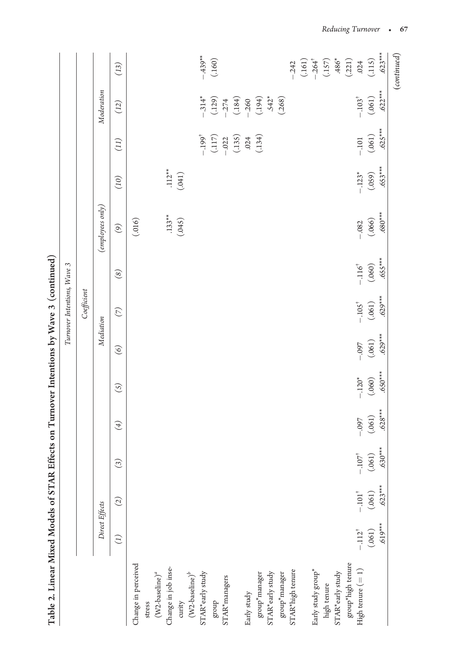| Table 2. Linear Mixed Models of STAR Effects on Turnover Intentions by Wave 3 (continued) |                |                |                  |                   |                 |           | Turnover Intentions, Wave 3 |               |                                        |           |                  |                  |                                |
|-------------------------------------------------------------------------------------------|----------------|----------------|------------------|-------------------|-----------------|-----------|-----------------------------|---------------|----------------------------------------|-----------|------------------|------------------|--------------------------------|
|                                                                                           |                |                |                  |                   |                 |           | Coefficient                 |               |                                        |           |                  |                  |                                |
|                                                                                           | Direct Effects |                |                  |                   |                 | Mediation |                             |               | (employees only)                       |           |                  | Moderation       |                                |
|                                                                                           | $\bigcirc$     | $\overline{c}$ | $\odot$          | $\left( 4\right)$ | $\widetilde{S}$ | $\odot$   | $\circlearrowright$         | $\circled{s}$ | $\begin{pmatrix} 0 \\ 0 \end{pmatrix}$ | (10)      | (11)             | (12)             | (13)                           |
| Change in perceived<br>stress                                                             |                |                |                  |                   |                 |           |                             |               | (.016)                                 |           |                  |                  |                                |
| $\left(\mbox{W2-basedine}\right)^a$                                                       |                |                |                  |                   |                 |           |                             |               |                                        |           |                  |                  |                                |
| Change in job inse-                                                                       |                |                |                  |                   |                 |           |                             |               | $.133***$                              | $.112**$  |                  |                  |                                |
| curity                                                                                    |                |                |                  |                   |                 |           |                             |               | (0.45)                                 | (.041)    |                  |                  |                                |
| $\left(\mbox{W2-basedine}\right)^b$                                                       |                |                |                  |                   |                 |           |                             |               |                                        |           |                  |                  |                                |
| STAR*early study                                                                          |                |                |                  |                   |                 |           |                             |               |                                        |           | $-199^{\dagger}$ | $-.314*$         | $-.439**$                      |
| group                                                                                     |                |                |                  |                   |                 |           |                             |               |                                        |           | (117)            | (.129)           | (.160)                         |
| STAR*managers                                                                             |                |                |                  |                   |                 |           |                             |               |                                        |           | $-.022$          | $-0.274$         |                                |
|                                                                                           |                |                |                  |                   |                 |           |                             |               |                                        |           | (.135)           | (.184)           |                                |
| Early study                                                                               |                |                |                  |                   |                 |           |                             |               |                                        |           | .024             |                  |                                |
| group*manager                                                                             |                |                |                  |                   |                 |           |                             |               |                                        |           | (.134)           | $-260$<br>(.194) |                                |
| STAR*early study                                                                          |                |                |                  |                   |                 |           |                             |               |                                        |           |                  | $.542*$          |                                |
| STAR*high tenure<br>group*manager                                                         |                |                |                  |                   |                 |           |                             |               |                                        |           |                  | (.268)           | $-.242$                        |
|                                                                                           |                |                |                  |                   |                 |           |                             |               |                                        |           |                  |                  |                                |
| Early study group*                                                                        |                |                |                  |                   |                 |           |                             |               |                                        |           |                  |                  | $(.161)$<br>- 264 <sup>+</sup> |
| high tenure                                                                               |                |                |                  |                   |                 |           |                             |               |                                        |           |                  |                  | (.157)                         |
| STAR*early study                                                                          |                |                |                  |                   |                 |           |                             |               |                                        |           |                  |                  | $.486*$<br>(.221)              |
| group*high tenure                                                                         |                |                |                  |                   |                 |           |                             |               |                                        |           |                  |                  |                                |
| High tenure $(=1)$                                                                        | $-.112^{+}$    | $-101^+$       | $-107^{\dagger}$ | $-0.097$          | $-.120*$        | $-0.097$  | $-.105+$                    | $-116^{+}$    | $-082$                                 | $-.123*$  | $-.101$          | $-.103+$         | .024                           |
|                                                                                           | (.061)         | (.061)         | (.061)           | (.061)            | (.060)          | (.061)    | (.061)                      | (.060)        | (.066)                                 | (0.059)   | (.061)           | (.061)           | (.115)                         |
|                                                                                           | $.619***$      | $.623***$      | $.630***$        | $.628***$         | $.650***$       | $.629***$ | $.629***$                   | $.655***$     | $.680***$                              | $.653***$ | $.625***$        | $.622***$        | $.623***$                      |
|                                                                                           |                |                |                  |                   |                 |           |                             |               |                                        |           |                  |                  | (continued)                    |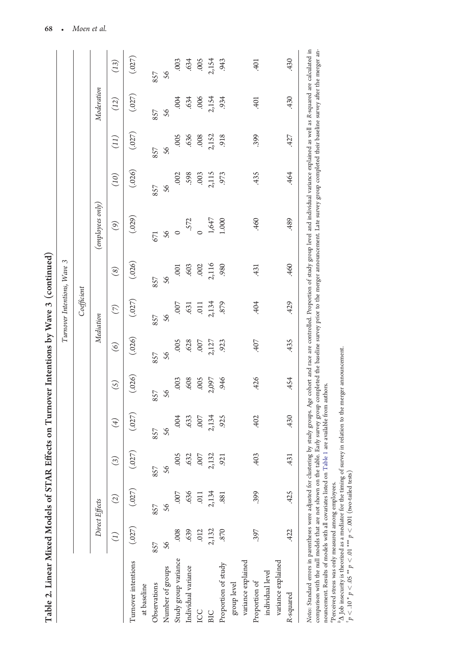|                                    |                  |                           |           |         |                | Coefficient      |               |                                |        |                    |            |         |
|------------------------------------|------------------|---------------------------|-----------|---------|----------------|------------------|---------------|--------------------------------|--------|--------------------|------------|---------|
|                                    | Direct Effects   |                           |           |         |                | Mediation        |               | $($ employees $\mathit{only})$ |        |                    | Moderation |         |
| $\left( 1\right)$                  | $\widetilde{c}$  | $\widetilde{\mathcal{E}}$ | $^{(4)}$  | $\odot$ | $\circledcirc$ | $\widehat{C}$    | $\circled{s}$ | $\odot$                        | (10)   | $\left( 11\right)$ | (12)       | (13)    |
| Turnover intentions<br>at baseline | (.027)<br>(.027) | (.027)                    | (.027)    | (.026)  | (.026)         | (027)            | (.026)        | (.029)                         | (.026) | (.027)             | (027)      | (.027)  |
| 857<br>Observations                | 857              | 857                       | 857       | 857     | 857            | 857              | 857           | 671                            | 857    | 857                | 857        | 857     |
| 56<br>Number of groups             | 56               | 56                        | 56        | 56      | 56             | 56               | 56            | 56                             | 56     | 56                 | 56         | 56      |
| .008<br>Study group variance       | 007              | <b>COO</b> .              | .004      | .003    | 005            | .007             | .001          | $\circ$                        | .002   | 005                | 004        | .003    |
| 639<br>Individual variance         | .636             | .632                      | .633      | 608     | .628           | .631             | .603          | .572                           | S98    | .636               | .634       | .634    |
| 012<br>ICC                         | $\overline{0}1$  | 007                       | $\sim 00$ | 005     | .007           | $\overline{0}11$ | .002          | $\circ$                        | .003   | 008                | .006       | $500$ . |
| 2,132<br>BIC                       | 2,134            | 2,132                     | 2,134     | 2,097   | 2,127          | 2,134            | 2,116         | 1,647                          | 2,115  | 2,152              | 2,154      | 2,154   |
| 870<br>Proportion of study         | 881              | 921                       | ,925      | 946     | 923            | 879              | 980           | 1.000                          | 973    | 918                | .934       | .943    |
| group level                        |                  |                           |           |         |                |                  |               |                                |        |                    |            |         |
| variance explained                 |                  |                           |           |         |                |                  |               |                                |        |                    |            |         |
| 397<br>Proportion of               | 399              | 403                       | 402       | 426     | -407           | 404              | $-431$        | -460                           | 435    | 399                | 401        | $-401$  |
| individual level                   |                  |                           |           |         |                |                  |               |                                |        |                    |            |         |
| variance explained                 |                  |                           |           |         |                |                  |               |                                |        |                    |            |         |
| 422<br>R-squared                   | 425              | 431                       | 430       | 454     | 435            | 429              | -460          | 489                            | 464    | 427                | 430        | 430     |

comparison with the null models that are not shown on the table. Early survey group completed the survey group completed their baseline survey after the merger aniga<br>F ر<br>پ  $\frac{5}{6}$  $\frac{9}{5}$ nouncement. Results of models with all covariates listed on Table 1 are available from authors. nouncement. Results of models with all covariates listed on Table 1 are available from authors.<br>"Perceived stress was only measured among employees.

 $\Delta$  Job insecurity is theorized as a mediator for the timing of survey in relation to the merger announcement.

b D†  $p < .10$  \*  $p < .05$  \*\*  $p < .01$  \*\*\*  $p < .001$  (two-tailed tests)

Table 2. Linear Mixed Models of STAR Effects on Turnover Intentions by Wave 3 (continued)

Table 2. Linear Mixed Models of STAR Effects on Turnover Intentions by Wave 3 (continued)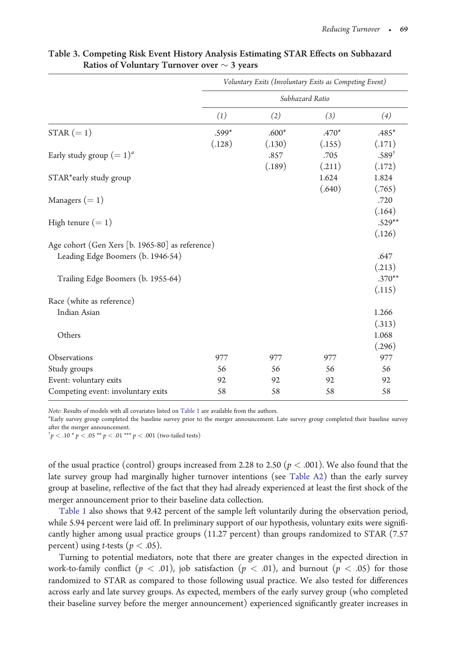|                                                 |         |         | Voluntary Exits (Involuntary Exits as Competing Event) |            |
|-------------------------------------------------|---------|---------|--------------------------------------------------------|------------|
|                                                 |         |         | Subhazard Ratio                                        |            |
|                                                 | (1)     | (2)     | (3)                                                    | (4)        |
| $STAR (= 1)$                                    | $.599*$ | $.600*$ | $.470*$                                                | $.485*$    |
|                                                 | (.128)  | (.130)  | (.155)                                                 | (.171)     |
| Early study group $(= 1)^a$                     |         | .857    | .705                                                   | $.589^{+}$ |
|                                                 |         | (.189)  | (.211)                                                 | (.172)     |
| STAR*early study group                          |         |         | 1.624                                                  | 1.824      |
|                                                 |         |         | (.640)                                                 | (.765)     |
| Managers $(= 1)$                                |         |         |                                                        | .720       |
|                                                 |         |         |                                                        | (.164)     |
| High tenure $(= 1)$                             |         |         |                                                        | $.529**$   |
|                                                 |         |         |                                                        | (.126)     |
| Age cohort (Gen Xers [b. 1965-80] as reference) |         |         |                                                        |            |
| Leading Edge Boomers (b. 1946-54)               |         |         |                                                        | .647       |
|                                                 |         |         |                                                        | (.213)     |
| Trailing Edge Boomers (b. 1955-64)              |         |         |                                                        | $.370**$   |
|                                                 |         |         |                                                        | (.115)     |
| Race (white as reference)                       |         |         |                                                        |            |
| Indian Asian                                    |         |         |                                                        | 1.266      |
|                                                 |         |         |                                                        | (.313)     |
| Others                                          |         |         |                                                        | 1.068      |
|                                                 |         |         |                                                        | (.296)     |
| Observations                                    | 977     | 977     | 977                                                    | 977        |
| Study groups                                    | 56      | 56      | 56                                                     | 56         |
|                                                 | 92      | 92      | 92                                                     | 92         |
| Event: voluntary exits                          |         |         |                                                        |            |
| Competing event: involuntary exits              | 58      | 58      | 58                                                     | 58         |

| Table 3. Competing Risk Event History Analysis Estimating STAR Effects on Subhazard |  |
|-------------------------------------------------------------------------------------|--|
| Ratios of Voluntary Turnover over $\sim$ 3 years                                    |  |

Note: Results of models with all covariates listed on Table 1 are available from the authors.

Early survey group completed the baseline survey prior to the merger announcement. Late survey group completed their baseline survey after the merger announcement.

 $p^+p < 0.10$  \*  $p < 0.05$  \*\*  $p < 0.01$  \*\*\*  $p < 0.001$  (two-tailed tests)

of the usual practice (control) groups increased from 2.28 to 2.50 ( $p < .001$ ). We also found that the late survey group had marginally higher turnover intentions (see Table A2) than the early survey group at baseline, reflective of the fact that they had already experienced at least the first shock of the merger announcement prior to their baseline data collection.

Table 1 also shows that 9.42 percent of the sample left voluntarily during the observation period, while 5.94 percent were laid off. In preliminary support of our hypothesis, voluntary exits were significantly higher among usual practice groups (11.27 percent) than groups randomized to STAR (7.57 percent) using *t*-tests ( $p < .05$ ).

Turning to potential mediators, note that there are greater changes in the expected direction in work-to-family conflict  $(p < .01)$ , job satisfaction  $(p < .01)$ , and burnout  $(p < .05)$  for those randomized to STAR as compared to those following usual practice. We also tested for differences across early and late survey groups. As expected, members of the early survey group (who completed their baseline survey before the merger announcement) experienced significantly greater increases in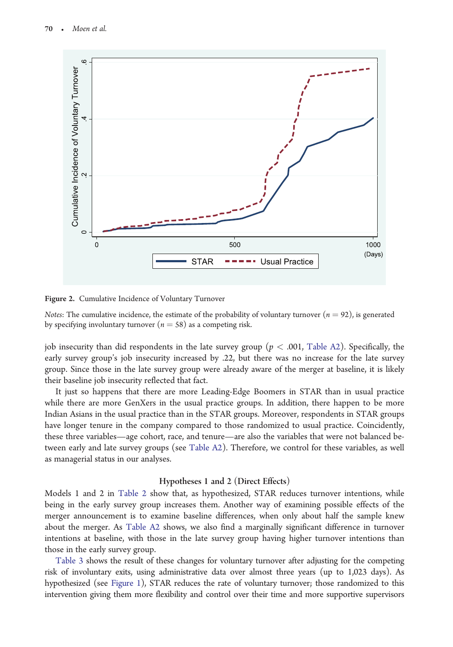

Figure 2. Cumulative Incidence of Voluntary Turnover

*Notes*: The cumulative incidence, the estimate of the probability of voluntary turnover  $(n = 92)$ , is generated by specifying involuntary turnover ( $n = 58$ ) as a competing risk.

job insecurity than did respondents in the late survey group ( $p < .001$ , Table A2). Specifically, the early survey group's job insecurity increased by .22, but there was no increase for the late survey group. Since those in the late survey group were already aware of the merger at baseline, it is likely their baseline job insecurity reflected that fact.

It just so happens that there are more Leading-Edge Boomers in STAR than in usual practice while there are more GenXers in the usual practice groups. In addition, there happen to be more Indian Asians in the usual practice than in the STAR groups. Moreover, respondents in STAR groups have longer tenure in the company compared to those randomized to usual practice. Coincidently, these three variables—age cohort, race, and tenure—are also the variables that were not balanced between early and late survey groups (see Table A2). Therefore, we control for these variables, as well as managerial status in our analyses.

#### Hypotheses 1 and 2 (Direct Effects)

Models 1 and 2 in Table 2 show that, as hypothesized, STAR reduces turnover intentions, while being in the early survey group increases them. Another way of examining possible effects of the merger announcement is to examine baseline differences, when only about half the sample knew about the merger. As Table A2 shows, we also find a marginally significant difference in turnover intentions at baseline, with those in the late survey group having higher turnover intentions than those in the early survey group.

Table 3 shows the result of these changes for voluntary turnover after adjusting for the competing risk of involuntary exits, using administrative data over almost three years (up to 1,023 days). As hypothesized (see Figure 1), STAR reduces the rate of voluntary turnover; those randomized to this intervention giving them more flexibility and control over their time and more supportive supervisors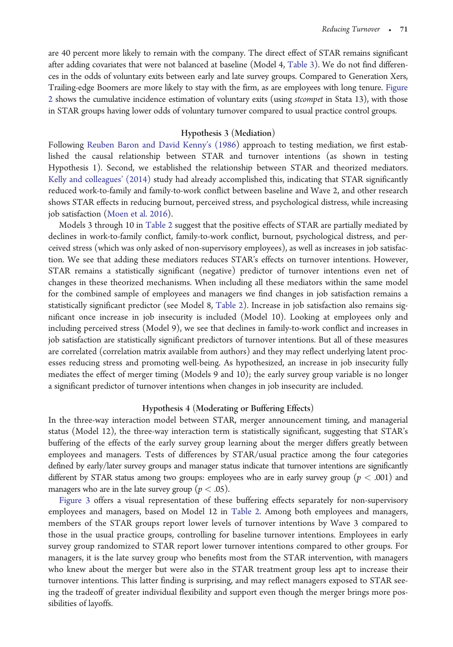are 40 percent more likely to remain with the company. The direct effect of STAR remains significant after adding covariates that were not balanced at baseline (Model 4, Table 3). We do not find differences in the odds of voluntary exits between early and late survey groups. Compared to Generation Xers, Trailing-edge Boomers are more likely to stay with the firm, as are employees with long tenure. Figure 2 shows the cumulative incidence estimation of voluntary exits (using stcompet in Stata 13), with those in STAR groups having lower odds of voluntary turnover compared to usual practice control groups.

#### Hypothesis 3 (Mediation)

Following Reuben Baron and David Kenny's (1986) approach to testing mediation, we first established the causal relationship between STAR and turnover intentions (as shown in testing Hypothesis 1). Second, we established the relationship between STAR and theorized mediators. Kelly and colleagues' (2014) study had already accomplished this, indicating that STAR significantly reduced work-to-family and family-to-work conflict between baseline and Wave 2, and other research shows STAR effects in reducing burnout, perceived stress, and psychological distress, while increasing job satisfaction (Moen et al. 2016).

Models 3 through 10 in Table 2 suggest that the positive effects of STAR are partially mediated by declines in work-to-family conflict, family-to-work conflict, burnout, psychological distress, and perceived stress (which was only asked of non-supervisory employees), as well as increases in job satisfaction. We see that adding these mediators reduces STAR's effects on turnover intentions. However, STAR remains a statistically significant (negative) predictor of turnover intentions even net of changes in these theorized mechanisms. When including all these mediators within the same model for the combined sample of employees and managers we find changes in job satisfaction remains a statistically significant predictor (see Model 8, Table 2). Increase in job satisfaction also remains significant once increase in job insecurity is included (Model 10). Looking at employees only and including perceived stress (Model 9), we see that declines in family-to-work conflict and increases in job satisfaction are statistically significant predictors of turnover intentions. But all of these measures are correlated (correlation matrix available from authors) and they may reflect underlying latent processes reducing stress and promoting well-being. As hypothesized, an increase in job insecurity fully mediates the effect of merger timing (Models 9 and 10); the early survey group variable is no longer a significant predictor of turnover intentions when changes in job insecurity are included.

#### Hypothesis 4 (Moderating or Buffering Effects)

In the three-way interaction model between STAR, merger announcement timing, and managerial status (Model 12), the three-way interaction term is statistically significant, suggesting that STAR's buffering of the effects of the early survey group learning about the merger differs greatly between employees and managers. Tests of differences by STAR/usual practice among the four categories defined by early/later survey groups and manager status indicate that turnover intentions are significantly different by STAR status among two groups: employees who are in early survey group ( $p < .001$ ) and managers who are in the late survey group ( $p < .05$ ).

Figure 3 offers a visual representation of these buffering effects separately for non-supervisory employees and managers, based on Model 12 in Table 2. Among both employees and managers, members of the STAR groups report lower levels of turnover intentions by Wave 3 compared to those in the usual practice groups, controlling for baseline turnover intentions. Employees in early survey group randomized to STAR report lower turnover intentions compared to other groups. For managers, it is the late survey group who benefits most from the STAR intervention, with managers who knew about the merger but were also in the STAR treatment group less apt to increase their turnover intentions. This latter finding is surprising, and may reflect managers exposed to STAR seeing the tradeoff of greater individual flexibility and support even though the merger brings more possibilities of layoffs.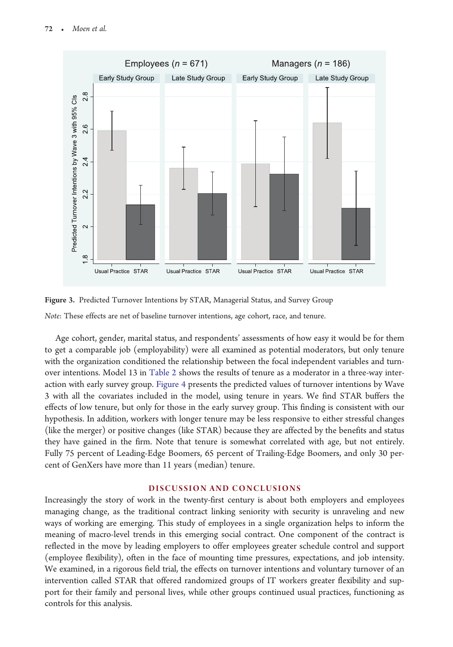

Figure 3. Predicted Turnover Intentions by STAR, Managerial Status, and Survey Group

Note: These effects are net of baseline turnover intentions, age cohort, race, and tenure.

Age cohort, gender, marital status, and respondents' assessments of how easy it would be for them to get a comparable job (employability) were all examined as potential moderators, but only tenure with the organization conditioned the relationship between the focal independent variables and turnover intentions. Model 13 in Table 2 shows the results of tenure as a moderator in a three-way interaction with early survey group. Figure 4 presents the predicted values of turnover intentions by Wave 3 with all the covariates included in the model, using tenure in years. We find STAR buffers the effects of low tenure, but only for those in the early survey group. This finding is consistent with our hypothesis. In addition, workers with longer tenure may be less responsive to either stressful changes (like the merger) or positive changes (like STAR) because they are affected by the benefits and status they have gained in the firm. Note that tenure is somewhat correlated with age, but not entirely. Fully 75 percent of Leading-Edge Boomers, 65 percent of Trailing-Edge Boomers, and only 30 percent of GenXers have more than 11 years (median) tenure.

#### DISCUSSION AND CONCLUSIONS

Increasingly the story of work in the twenty-first century is about both employers and employees managing change, as the traditional contract linking seniority with security is unraveling and new ways of working are emerging. This study of employees in a single organization helps to inform the meaning of macro-level trends in this emerging social contract. One component of the contract is reflected in the move by leading employers to offer employees greater schedule control and support (employee flexibility), often in the face of mounting time pressures, expectations, and job intensity. We examined, in a rigorous field trial, the effects on turnover intentions and voluntary turnover of an intervention called STAR that offered randomized groups of IT workers greater flexibility and support for their family and personal lives, while other groups continued usual practices, functioning as controls for this analysis.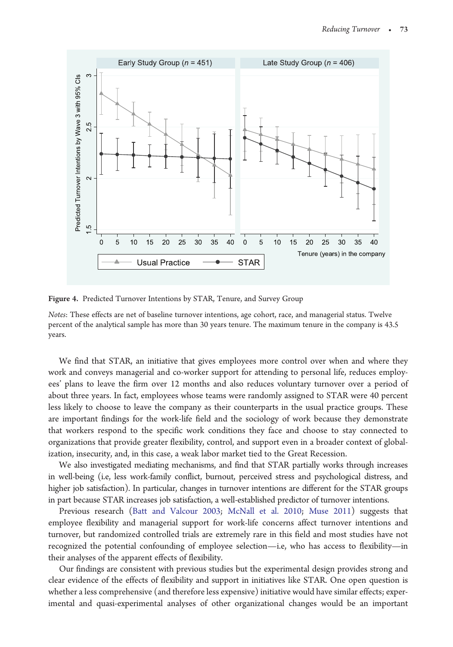

Figure 4. Predicted Turnover Intentions by STAR, Tenure, and Survey Group

Notes: These effects are net of baseline turnover intentions, age cohort, race, and managerial status. Twelve percent of the analytical sample has more than 30 years tenure. The maximum tenure in the company is 43.5 years.

We find that STAR, an initiative that gives employees more control over when and where they work and conveys managerial and co-worker support for attending to personal life, reduces employees' plans to leave the firm over 12 months and also reduces voluntary turnover over a period of about three years. In fact, employees whose teams were randomly assigned to STAR were 40 percent less likely to choose to leave the company as their counterparts in the usual practice groups. These are important findings for the work-life field and the sociology of work because they demonstrate that workers respond to the specific work conditions they face and choose to stay connected to organizations that provide greater flexibility, control, and support even in a broader context of globalization, insecurity, and, in this case, a weak labor market tied to the Great Recession.

We also investigated mediating mechanisms, and find that STAR partially works through increases in well-being (i.e, less work-family conflict, burnout, perceived stress and psychological distress, and higher job satisfaction). In particular, changes in turnover intentions are different for the STAR groups in part because STAR increases job satisfaction, a well-established predictor of turnover intentions.

Previous research (Batt and Valcour 2003; McNall et al. 2010; Muse 2011) suggests that employee flexibility and managerial support for work-life concerns affect turnover intentions and turnover, but randomized controlled trials are extremely rare in this field and most studies have not recognized the potential confounding of employee selection—i.e, who has access to flexibility—in their analyses of the apparent effects of flexibility.

Our findings are consistent with previous studies but the experimental design provides strong and clear evidence of the effects of flexibility and support in initiatives like STAR. One open question is whether a less comprehensive (and therefore less expensive) initiative would have similar effects; experimental and quasi-experimental analyses of other organizational changes would be an important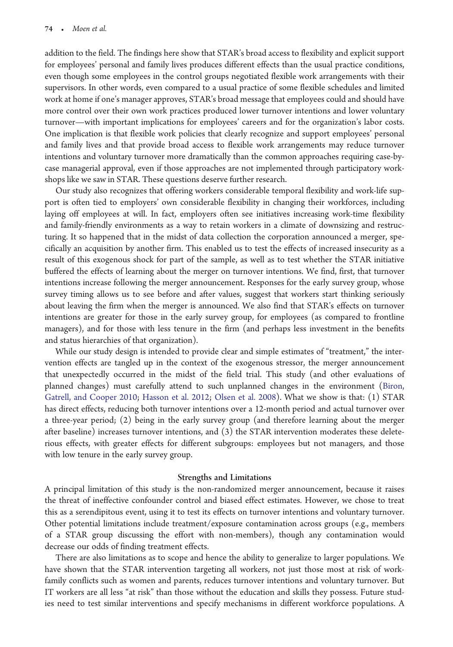addition to the field. The findings here show that STAR's broad access to flexibility and explicit support for employees' personal and family lives produces different effects than the usual practice conditions, even though some employees in the control groups negotiated flexible work arrangements with their supervisors. In other words, even compared to a usual practice of some flexible schedules and limited work at home if one's manager approves, STAR's broad message that employees could and should have more control over their own work practices produced lower turnover intentions and lower voluntary turnover—with important implications for employees' careers and for the organization's labor costs. One implication is that flexible work policies that clearly recognize and support employees' personal and family lives and that provide broad access to flexible work arrangements may reduce turnover intentions and voluntary turnover more dramatically than the common approaches requiring case-bycase managerial approval, even if those approaches are not implemented through participatory workshops like we saw in STAR. These questions deserve further research.

Our study also recognizes that offering workers considerable temporal flexibility and work-life support is often tied to employers' own considerable flexibility in changing their workforces, including laying off employees at will. In fact, employers often see initiatives increasing work-time flexibility and family-friendly environments as a way to retain workers in a climate of downsizing and restructuring. It so happened that in the midst of data collection the corporation announced a merger, specifically an acquisition by another firm. This enabled us to test the effects of increased insecurity as a result of this exogenous shock for part of the sample, as well as to test whether the STAR initiative buffered the effects of learning about the merger on turnover intentions. We find, first, that turnover intentions increase following the merger announcement. Responses for the early survey group, whose survey timing allows us to see before and after values, suggest that workers start thinking seriously about leaving the firm when the merger is announced. We also find that STAR's effects on turnover intentions are greater for those in the early survey group, for employees (as compared to frontline managers), and for those with less tenure in the firm (and perhaps less investment in the benefits and status hierarchies of that organization).

While our study design is intended to provide clear and simple estimates of "treatment," the intervention effects are tangled up in the context of the exogenous stressor, the merger announcement that unexpectedly occurred in the midst of the field trial. This study (and other evaluations of planned changes) must carefully attend to such unplanned changes in the environment (Biron, Gatrell, and Cooper 2010; Hasson et al. 2012; Olsen et al. 2008). What we show is that: (1) STAR has direct effects, reducing both turnover intentions over a 12-month period and actual turnover over a three-year period; (2) being in the early survey group (and therefore learning about the merger after baseline) increases turnover intentions, and (3) the STAR intervention moderates these deleterious effects, with greater effects for different subgroups: employees but not managers, and those with low tenure in the early survey group.

#### Strengths and Limitations

A principal limitation of this study is the non-randomized merger announcement, because it raises the threat of ineffective confounder control and biased effect estimates. However, we chose to treat this as a serendipitous event, using it to test its effects on turnover intentions and voluntary turnover. Other potential limitations include treatment/exposure contamination across groups (e.g., members of a STAR group discussing the effort with non-members), though any contamination would decrease our odds of finding treatment effects.

There are also limitations as to scope and hence the ability to generalize to larger populations. We have shown that the STAR intervention targeting all workers, not just those most at risk of workfamily conflicts such as women and parents, reduces turnover intentions and voluntary turnover. But IT workers are all less "at risk" than those without the education and skills they possess. Future studies need to test similar interventions and specify mechanisms in different workforce populations. A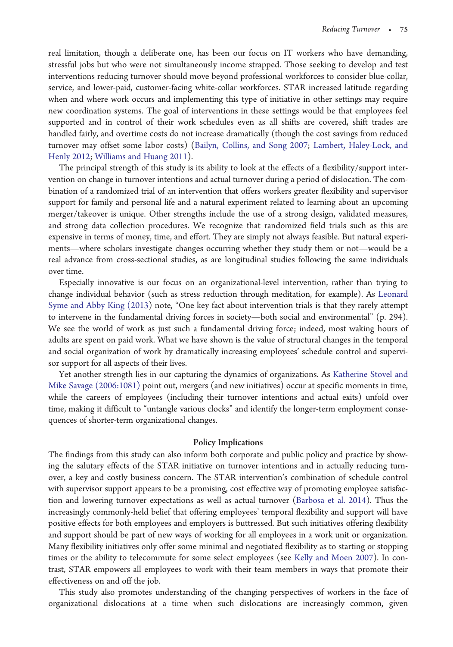real limitation, though a deliberate one, has been our focus on IT workers who have demanding, stressful jobs but who were not simultaneously income strapped. Those seeking to develop and test interventions reducing turnover should move beyond professional workforces to consider blue-collar, service, and lower-paid, customer-facing white-collar workforces. STAR increased latitude regarding when and where work occurs and implementing this type of initiative in other settings may require new coordination systems. The goal of interventions in these settings would be that employees feel supported and in control of their work schedules even as all shifts are covered, shift trades are handled fairly, and overtime costs do not increase dramatically (though the cost savings from reduced turnover may offset some labor costs) (Bailyn, Collins, and Song 2007; Lambert, Haley-Lock, and Henly 2012; Williams and Huang 2011).

The principal strength of this study is its ability to look at the effects of a flexibility/support intervention on change in turnover intentions and actual turnover during a period of dislocation. The combination of a randomized trial of an intervention that offers workers greater flexibility and supervisor support for family and personal life and a natural experiment related to learning about an upcoming merger/takeover is unique. Other strengths include the use of a strong design, validated measures, and strong data collection procedures. We recognize that randomized field trials such as this are expensive in terms of money, time, and effort. They are simply not always feasible. But natural experiments—where scholars investigate changes occurring whether they study them or not—would be a real advance from cross-sectional studies, as are longitudinal studies following the same individuals over time.

Especially innovative is our focus on an organizational-level intervention, rather than trying to change individual behavior (such as stress reduction through meditation, for example). As Leonard Syme and Abby King (2013) note, "One key fact about intervention trials is that they rarely attempt to intervene in the fundamental driving forces in society—both social and environmental" (p. 294). We see the world of work as just such a fundamental driving force; indeed, most waking hours of adults are spent on paid work. What we have shown is the value of structural changes in the temporal and social organization of work by dramatically increasing employees' schedule control and supervisor support for all aspects of their lives.

Yet another strength lies in our capturing the dynamics of organizations. As Katherine Stovel and Mike Savage (2006:1081) point out, mergers (and new initiatives) occur at specific moments in time, while the careers of employees (including their turnover intentions and actual exits) unfold over time, making it difficult to "untangle various clocks" and identify the longer-term employment consequences of shorter-term organizational changes.

#### Policy Implications

The findings from this study can also inform both corporate and public policy and practice by showing the salutary effects of the STAR initiative on turnover intentions and in actually reducing turnover, a key and costly business concern. The STAR intervention's combination of schedule control with supervisor support appears to be a promising, cost effective way of promoting employee satisfaction and lowering turnover expectations as well as actual turnover (Barbosa et al. 2014). Thus the increasingly commonly-held belief that offering employees' temporal flexibility and support will have positive effects for both employees and employers is buttressed. But such initiatives offering flexibility and support should be part of new ways of working for all employees in a work unit or organization. Many flexibility initiatives only offer some minimal and negotiated flexibility as to starting or stopping times or the ability to telecommute for some select employees (see Kelly and Moen 2007). In contrast, STAR empowers all employees to work with their team members in ways that promote their effectiveness on and off the job.

This study also promotes understanding of the changing perspectives of workers in the face of organizational dislocations at a time when such dislocations are increasingly common, given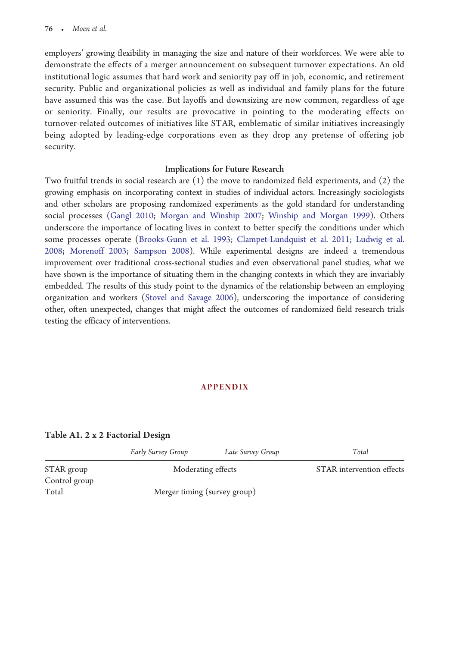employers' growing flexibility in managing the size and nature of their workforces. We were able to demonstrate the effects of a merger announcement on subsequent turnover expectations. An old institutional logic assumes that hard work and seniority pay off in job, economic, and retirement security. Public and organizational policies as well as individual and family plans for the future have assumed this was the case. But layoffs and downsizing are now common, regardless of age or seniority. Finally, our results are provocative in pointing to the moderating effects on turnover-related outcomes of initiatives like STAR, emblematic of similar initiatives increasingly being adopted by leading-edge corporations even as they drop any pretense of offering job security.

#### Implications for Future Research

Two fruitful trends in social research are (1) the move to randomized field experiments, and (2) the growing emphasis on incorporating context in studies of individual actors. Increasingly sociologists and other scholars are proposing randomized experiments as the gold standard for understanding social processes (Gangl 2010; Morgan and Winship 2007; Winship and Morgan 1999). Others underscore the importance of locating lives in context to better specify the conditions under which some processes operate (Brooks-Gunn et al. 1993; Clampet-Lundquist et al. 2011; Ludwig et al. 2008; Morenoff 2003; Sampson 2008). While experimental designs are indeed a tremendous improvement over traditional cross-sectional studies and even observational panel studies, what we have shown is the importance of situating them in the changing contexts in which they are invariably embedded. The results of this study point to the dynamics of the relationship between an employing organization and workers (Stovel and Savage 2006), underscoring the importance of considering other, often unexpected, changes that might affect the outcomes of randomized field research trials testing the efficacy of interventions.

#### APPENDIX

|  |  |  |  | Table A1. 2 x 2 Factorial Design |  |
|--|--|--|--|----------------------------------|--|
|--|--|--|--|----------------------------------|--|

|               | Early Survey Group           | Late Survey Group  | Total                     |
|---------------|------------------------------|--------------------|---------------------------|
| STAR group    |                              | Moderating effects | STAR intervention effects |
| Control group |                              |                    |                           |
| Total         | Merger timing (survey group) |                    |                           |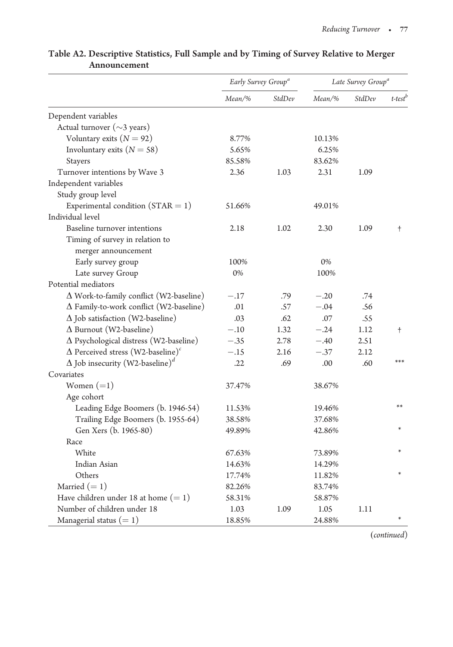|                                                      | Early Survey Group <sup>a</sup> |        |          | Late Survey Group <sup>a</sup> |                |
|------------------------------------------------------|---------------------------------|--------|----------|--------------------------------|----------------|
|                                                      | Mean/%                          | StdDev | $Mean$ % | StdDev                         | $t$ -test $^b$ |
| Dependent variables                                  |                                 |        |          |                                |                |
| Actual turnover ( $\sim$ 3 years)                    |                                 |        |          |                                |                |
| Voluntary exits $(N = 92)$                           | 8.77%                           |        | 10.13%   |                                |                |
| Involuntary exits $(N = 58)$                         | 5.65%                           |        | 6.25%    |                                |                |
| Stayers                                              | 85.58%                          |        | 83.62%   |                                |                |
| Turnover intentions by Wave 3                        | 2.36                            | 1.03   | 2.31     | 1.09                           |                |
| Independent variables                                |                                 |        |          |                                |                |
| Study group level                                    |                                 |        |          |                                |                |
| Experimental condition $(STAR = 1)$                  | 51.66%                          |        | 49.01%   |                                |                |
| Individual level                                     |                                 |        |          |                                |                |
| Baseline turnover intentions                         | 2.18                            | 1.02   | 2.30     | 1.09                           | $\ddagger$     |
| Timing of survey in relation to                      |                                 |        |          |                                |                |
| merger announcement                                  |                                 |        |          |                                |                |
| Early survey group                                   | 100%                            |        | 0%       |                                |                |
| Late survey Group                                    | 0%                              |        | 100%     |                                |                |
| Potential mediators                                  |                                 |        |          |                                |                |
| $\Delta$ Work-to-family conflict (W2-baseline)       | $-.17$                          | .79    | $-.20$   | .74                            |                |
| $\Delta$ Family-to-work conflict (W2-baseline)       | .01                             | .57    | $-.04$   | .56                            |                |
| $\Delta$ Job satisfaction (W2-baseline)              | .03                             | .62    | .07      | .55                            |                |
| $\Delta$ Burnout (W2-baseline)                       | $-.10$                          | 1.32   | $-.24$   | 1.12                           | $\ddagger$     |
| $\Delta$ Psychological distress (W2-baseline)        | $-.35$                          | 2.78   | $-.40$   | 2.51                           |                |
| $\Delta$ Perceived stress (W2-baseline) <sup>c</sup> | $-.15$                          | 2.16   | $-.37$   | 2.12                           |                |
| $\Delta$ Job insecurity (W2-baseline) <sup>d</sup>   | .22                             | .69    | .00      | .60                            | ***            |
| Covariates                                           |                                 |        |          |                                |                |
| Women $(=1)$                                         | 37.47%                          |        | 38.67%   |                                |                |
| Age cohort                                           |                                 |        |          |                                |                |
| Leading Edge Boomers (b. 1946-54)                    | 11.53%                          |        | 19.46%   |                                |                |
| Trailing Edge Boomers (b. 1955-64)                   | 38.58%                          |        | 37.68%   |                                |                |
| Gen Xers (b. 1965-80)                                | 49.89%                          |        | 42.86%   |                                |                |
| Race                                                 |                                 |        |          |                                |                |
| White                                                | 67.63%                          |        | 73.89%   |                                |                |
| Indian Asian                                         | 14.63%                          |        | 14.29%   |                                |                |
| Others                                               | 17.74%                          |        | 11.82%   |                                |                |
| Married $(= 1)$                                      | 82.26%                          |        | 83.74%   |                                |                |
| Have children under 18 at home $(= 1)$               | 58.31%                          |        | 58.87%   |                                |                |
| Number of children under 18                          | 1.03                            | 1.09   | 1.05     | 1.11                           |                |
| Managerial status $(= 1)$                            | 18.85%                          |        | 24.88%   |                                |                |

### Table A2. Descriptive Statistics, Full Sample and by Timing of Survey Relative to Merger Announcement

(continued)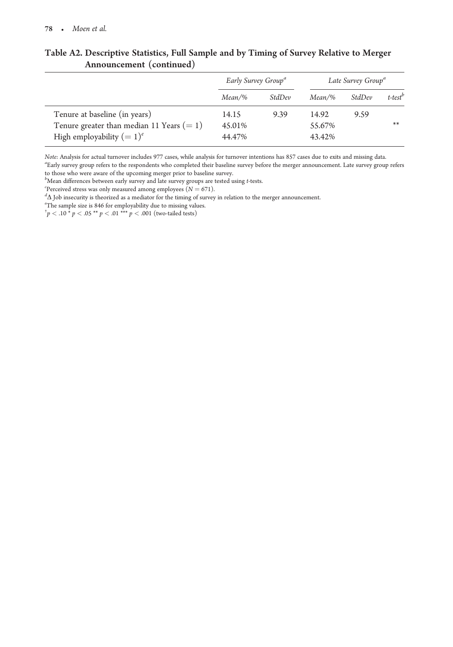|                                             | Early Survey Group <sup>a</sup> |        |          | Late Survey Group <sup>a</sup> |                     |
|---------------------------------------------|---------------------------------|--------|----------|--------------------------------|---------------------|
|                                             | $Mean\%$                        | StdDev | $Mean\%$ | StdDev                         | t-test <sup>b</sup> |
| Tenure at baseline (in years)               | 14.15                           | 9.39   | 14.92    | 9.59                           |                     |
| Tenure greater than median 11 Years $(= 1)$ | 45.01%                          |        | 55.67%   |                                | **                  |
| High employability $(= 1)^e$                | 44.47%                          |        | 43.42%   |                                |                     |

#### Table A2. Descriptive Statistics, Full Sample and by Timing of Survey Relative to Merger Announcement (continued)

Note: Analysis for actual turnover includes 977 cases, while analysis for turnover intentions has 857 cases due to exits and missing data. Early survey group refers to the respondents who completed their baseline survey before the merger announcement. Late survey group refers to those who were aware of the upcoming merger prior to baseline survey.

<sup>b</sup>Mean differences between early survey and late survey groups are tested using *t*-tests.<br>Classived stress was only massured among employees  $(N - 671)$ 

<sup>c</sup>Perceived stress was only measured among employees ( $N = 671$ ).

 ${}^d\Delta$  Job insecurity is theorized as a mediator for the timing of survey in relation to the merger announcement.

 $\,^{\mathrm{e}}\mathrm{The}$  sample size is 846 for employability due to missing values.

 $^{\dagger}p <$  .10  $^{\ast}$   $p <$  .05  $^{\ast\ast}$   $p <$  .01  $^{\ast\ast\ast}$   $p <$  .001 (two-tailed tests)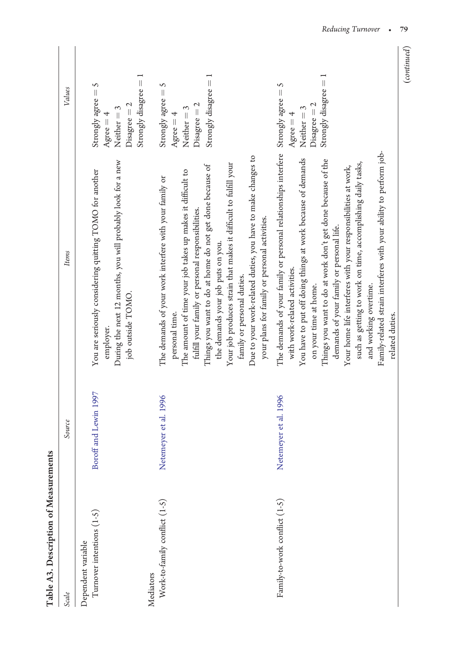| Tanie un nescribitat artes de sinemente           |                       |                                                                                                                                                                                                                                                                                                                                                                                                                                                                                                                                                      |                                                                                                  |
|---------------------------------------------------|-----------------------|------------------------------------------------------------------------------------------------------------------------------------------------------------------------------------------------------------------------------------------------------------------------------------------------------------------------------------------------------------------------------------------------------------------------------------------------------------------------------------------------------------------------------------------------------|--------------------------------------------------------------------------------------------------|
| Scale                                             | Source                | <b>Items</b>                                                                                                                                                                                                                                                                                                                                                                                                                                                                                                                                         | Values                                                                                           |
| Turnover intentions $(1-5)$<br>Dependent variable | Boroff and Lewin 1997 | During the next 12 months, you will probably look for a new<br>You are seriously considering quitting TOMO for another<br>job outside TOMO.<br>employer.                                                                                                                                                                                                                                                                                                                                                                                             | Strongly disagree = 1<br>S<br>Strongly agree =<br>$Disagree = 2$<br>Neither $=$ 3<br>Agree $=$ 4 |
| Work-to-family conflict (1-5)<br>Mediators        | Netemeyer et al. 1996 | Due to your work-related duties, you have to make changes to<br>Your job produces strain that makes it difficult to fulfill your<br>Things you want to do at home do not get done because of<br>The amount of time your job takes up makes it difficult to<br>The demands of your work interfere with your family or<br>fulfill your family or personal responsibilities.<br>your plans for family or personal activities.<br>the demands your job puts on you.<br>tamily or personal duties.<br>personal time.                                      | Strongly disagree = 1<br>S<br>Strongly agree =<br>$Disagree = 2$<br>Neither $=$ 3<br>Agree $=$ 4 |
| Family-to-work conflict (1-5)                     | Netemeyer et al. 1996 | Family-related strain interferes with your ability to perform job-<br>The demands of your family or personal relationships interfere<br>You have to put off doing things at work because of demands<br>Things you want to do at work don't get done because of the<br>such as getting to work on time, accomplishing daily tasks,<br>Your home life interferes with your responsibilities at work,<br>demands of your family or personal life.<br>with work-related activities.<br>on your time at home.<br>and working overtime.<br>related duties. | Strongly disagree = 1<br>S<br>Strongly agree =<br>Disagree $= 2$<br>Neither $=$ 3<br>Agree $=$ 4 |
|                                                   |                       |                                                                                                                                                                                                                                                                                                                                                                                                                                                                                                                                                      | $_{(continued)}$                                                                                 |

Table A3. Description of Measurements Table A3. Description of Measurements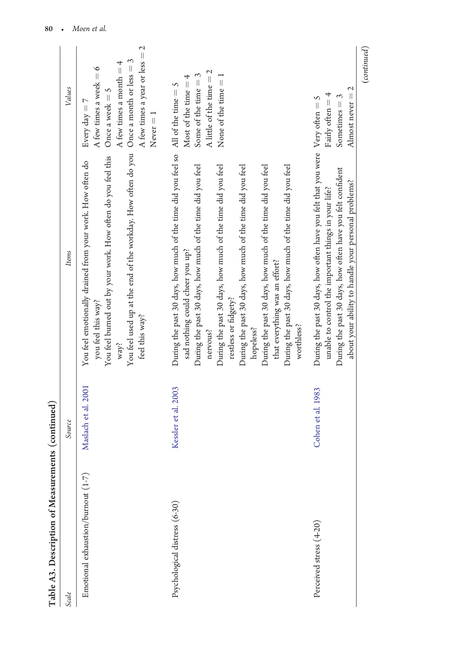| Scale                              | Source              | <b>Items</b>                                                                                                                                                                                                                                                                                                                                                                                                                                                                                                                                  | Values                                                                                                                                                                          |
|------------------------------------|---------------------|-----------------------------------------------------------------------------------------------------------------------------------------------------------------------------------------------------------------------------------------------------------------------------------------------------------------------------------------------------------------------------------------------------------------------------------------------------------------------------------------------------------------------------------------------|---------------------------------------------------------------------------------------------------------------------------------------------------------------------------------|
| Emotional exhaustion/burnout (1-7) | Maslach et al. 2001 | You feel used up at the end of the workday. How often do you<br>You feel burned out by your work. How often do you feel this<br>You feel emotionally drained from your work. How often do<br>you feel this way?<br>feel this way?<br>way?                                                                                                                                                                                                                                                                                                     | 2<br>A few times a year or less =<br>Once a month or less $=$ 3<br>A few times a month $=$ 4<br>A few times a week $= 6$<br>Once a week $=$ 5<br>Every day $= 7$<br>$Never = 1$ |
| Psychological distress (6-30)      | Kessler et al. 2003 | During the past 30 days, how much of the time did you feel so All of the time $= 5$<br>During the past 30 days, how much of the time did you feel<br>During the past 30 days, how much of the time did you feel<br>During the past 30 days, how much of the time did you feel<br>During the past 30 days, how much of the time did you feel<br>During the past 30 days, how much of the time did you feel<br>sad nothing could cheer you up?<br>that everything was an effort?<br>restless or fidgety?<br>worthless?<br>hopeless?<br>nervous? | A little of the time $= 2$<br>ξ<br>None of the time $= 1$<br>Some of the time $\equiv$<br>Most of the time $=$                                                                  |
| Perceived stress (4-20)            | Cohen et al. 1983   | During the past 30 days, how often have you felt that you were Very often =<br>During the past 30 days, how often have you felt confident<br>about your ability to handle your personal problems?<br>unable to control the important things in your life?                                                                                                                                                                                                                                                                                     | Almost never $= 2$<br>Fairly often $=$ 4<br>Sometimes $=$ 3                                                                                                                     |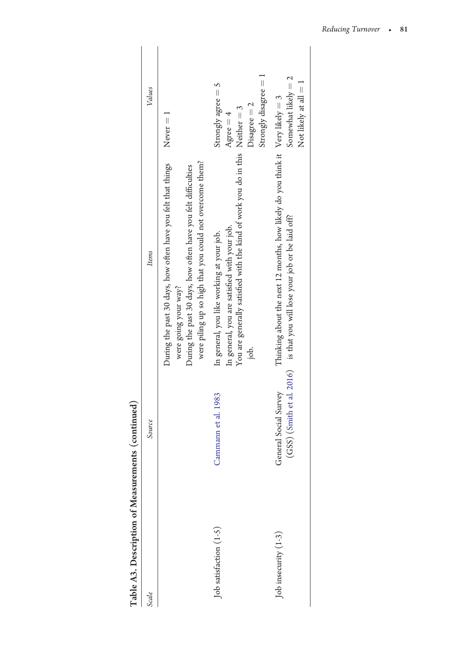| Table A3. Description of Measurements | continued)            |                                                                                                                                                                                                                   |                                                                                |
|---------------------------------------|-----------------------|-------------------------------------------------------------------------------------------------------------------------------------------------------------------------------------------------------------------|--------------------------------------------------------------------------------|
| Scale                                 | Source                | <b>Items</b>                                                                                                                                                                                                      | Values                                                                         |
|                                       |                       | were piling up so high that you could not overcome them?<br>During the past 30 days, how often have you felt that things<br>During the past 30 days, how often have you felt difficulties<br>were going your way? | Never $=$                                                                      |
| Job satisfaction (1-5)                | Cammann et al. 1983   | You are generally satisfied with the kind of work you do in this Neither $=$ 3<br>In general, you are satisfied with your job.<br>In general, you like working at your job.<br>job.                               | Strongly disagree = 1<br>Strongly agree $=$ 5<br>$Disagree = 2$<br>Agree $= 4$ |
| Job insecurity (1-3)                  | General Social Survey | Thinking about the next 12 months, how likely do you think it $\sqrt{2}$ ery likely = 3<br>(GSS) (Smith et al. 2016) is that you will lose your job or be laid off?                                               | Somewhat likely $= 2$<br>Not likely at all =                                   |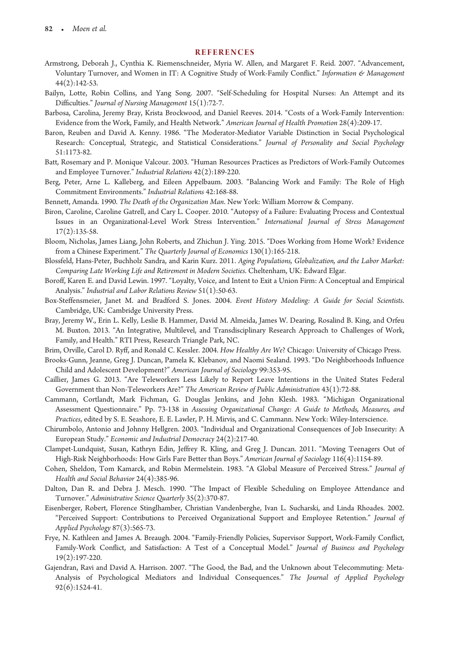#### REFERENCES

- Armstrong, Deborah J., Cynthia K. Riemenschneider, Myria W. Allen, and Margaret F. Reid. 2007. "Advancement, Voluntary Turnover, and Women in IT: A Cognitive Study of Work-Family Conflict." Information & Management 44(2):142-53.
- Bailyn, Lotte, Robin Collins, and Yang Song. 2007. "Self-Scheduling for Hospital Nurses: An Attempt and its Difficulties." Journal of Nursing Management 15(1):72-7.
- Barbosa, Carolina, Jeremy Bray, Krista Brockwood, and Daniel Reeves. 2014. "Costs of a Work-Family Intervention: Evidence from the Work, Family, and Health Network." American Journal of Health Promotion 28(4):209-17.
- Baron, Reuben and David A. Kenny. 1986. "The Moderator-Mediator Variable Distinction in Social Psychological Research: Conceptual, Strategic, and Statistical Considerations." Journal of Personality and Social Psychology 51:1173-82.
- Batt, Rosemary and P. Monique Valcour. 2003. "Human Resources Practices as Predictors of Work-Family Outcomes and Employee Turnover." Industrial Relations 42(2):189-220.
- Berg, Peter, Arne L. Kalleberg, and Eileen Appelbaum. 2003. "Balancing Work and Family: The Role of High Commitment Environments." Industrial Relations 42:168-88.
- Bennett, Amanda. 1990. The Death of the Organization Man. New York: William Morrow & Company.
- Biron, Caroline, Caroline Gatrell, and Cary L. Cooper. 2010. "Autopsy of a Failure: Evaluating Process and Contextual Issues in an Organizational-Level Work Stress Intervention." International Journal of Stress Management  $17(2):135-58.$
- Bloom, Nicholas, James Liang, John Roberts, and Zhichun J. Ying. 2015. "Does Working from Home Work? Evidence from a Chinese Experiment." The Quarterly Journal of Economics 130(1):165-218.
- Blossfeld, Hans-Peter, Buchholz Sandra, and Karin Kurz. 2011. Aging Populations, Globalization, and the Labor Market: Comparing Late Working Life and Retirement in Modern Societies. Cheltenham, UK: Edward Elgar.
- Boroff, Karen E. and David Lewin. 1997. "Loyalty, Voice, and Intent to Exit a Union Firm: A Conceptual and Empirical Analysis." Industrial and Labor Relations Review 51(1):50-63.
- Box-Steffensmeier, Janet M. and Bradford S. Jones. 2004. Event History Modeling: A Guide for Social Scientists. Cambridge, UK: Cambridge University Press.
- Bray, Jeremy W., Erin L. Kelly, Leslie B. Hammer, David M. Almeida, James W. Dearing, Rosalind B. King, and Orfeu M. Buxton. 2013. "An Integrative, Multilevel, and Transdisciplinary Research Approach to Challenges of Work, Family, and Health." RTI Press, Research Triangle Park, NC.
- Brim, Orville, Carol D. Ryff, and Ronald C. Kessler. 2004. How Healthy Are We? Chicago: University of Chicago Press.
- Brooks-Gunn, Jeanne, Greg J. Duncan, Pamela K. Klebanov, and Naomi Sealand. 1993. "Do Neighborhoods Influence Child and Adolescent Development?" American Journal of Sociology 99:353-95.
- Caillier, James G. 2013. "Are Teleworkers Less Likely to Report Leave Intentions in the United States Federal Government than Non-Teleworkers Are?" The American Review of Public Administration 43(1):72-88.
- Cammann, Cortlandt, Mark Fichman, G. Douglas Jenkins, and John Klesh. 1983. "Michigan Organizational Assessment Questionnaire." Pp. 73-138 in Assessing Organizational Change: A Guide to Methods, Measures, and Practices, edited by S. E. Seashore, E. E. Lawler, P. H. Mirvis, and C. Cammann. New York: Wiley-Interscience.
- Chirumbolo, Antonio and Johnny Hellgren. 2003. "Individual and Organizational Consequences of Job Insecurity: A European Study." Economic and Industrial Democracy 24(2):217-40.
- Clampet-Lundquist, Susan, Kathryn Edin, Jeffrey R. Kling, and Greg J. Duncan. 2011. "Moving Teenagers Out of High-Risk Neighborhoods: How Girls Fare Better than Boys." American Journal of Sociology 116(4):1154-89.
- Cohen, Sheldon, Tom Kamarck, and Robin Mermelstein. 1983. "A Global Measure of Perceived Stress." Journal of Health and Social Behavior 24(4):385-96.
- Dalton, Dan R. and Debra J. Mesch. 1990. "The Impact of Flexible Scheduling on Employee Attendance and Turnover." Administrative Science Quarterly 35(2):370-87.
- Eisenberger, Robert, Florence Stinglhamber, Christian Vandenberghe, Ivan L. Sucharski, and Linda Rhoades. 2002. "Perceived Support: Contributions to Perceived Organizational Support and Employee Retention." Journal of Applied Psychology 87(3):565-73.
- Frye, N. Kathleen and James A. Breaugh. 2004. "Family-Friendly Policies, Supervisor Support, Work-Family Conflict, Family-Work Conflict, and Satisfaction: A Test of a Conceptual Model." Journal of Business and Psychology 19(2):197-220.
- Gajendran, Ravi and David A. Harrison. 2007. "The Good, the Bad, and the Unknown about Telecommuting: Meta-Analysis of Psychological Mediators and Individual Consequences." The Journal of Applied Psychology 92(6):1524-41.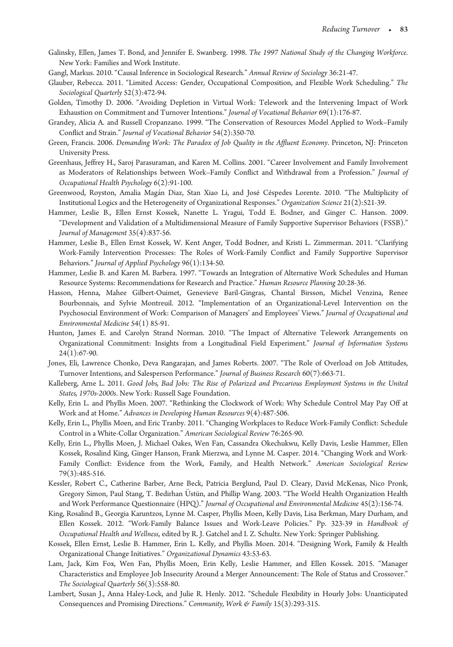- Galinsky, Ellen, James T. Bond, and Jennifer E. Swanberg. 1998. The 1997 National Study of the Changing Workforce. New York: Families and Work Institute.
- Gangl, Markus. 2010. "Causal Inference in Sociological Research." Annual Review of Sociology 36:21-47.
- Glauber, Rebecca. 2011. "Limited Access: Gender, Occupational Composition, and Flexible Work Scheduling." The Sociological Quarterly 52(3):472-94.
- Golden, Timothy D. 2006. "Avoiding Depletion in Virtual Work: Telework and the Intervening Impact of Work Exhaustion on Commitment and Turnover Intentions." Journal of Vocational Behavior 69(1):176-87.
- Grandey, Alicia A. and Russell Cropanzano. 1999. "The Conservation of Resources Model Applied to Work–Family Conflict and Strain." Journal of Vocational Behavior 54(2):350-70.
- Green, Francis. 2006. Demanding Work: The Paradox of Job Quality in the Affluent Economy. Princeton, NJ: Princeton University Press.
- Greenhaus, Jeffrey H., Saroj Parasuraman, and Karen M. Collins. 2001. "Career Involvement and Family Involvement as Moderators of Relationships between Work–Family Conflict and Withdrawal from a Profession." Journal of Occupational Health Psychology 6(2):91-100.
- Greenwood, Royston, Amalia Magán Diaz, Stan Xiao Li, and José Céspedes Lorente. 2010. "The Multiplicity of Institutional Logics and the Heterogeneity of Organizational Responses." Organization Science 21(2):521-39.
- Hammer, Leslie B., Ellen Ernst Kossek, Nanette L. Yragui, Todd E. Bodner, and Ginger C. Hanson. 2009. "Development and Validation of a Multidimensional Measure of Family Supportive Supervisor Behaviors (FSSB)." Journal of Management 35(4):837-56.
- Hammer, Leslie B., Ellen Ernst Kossek, W. Kent Anger, Todd Bodner, and Kristi L. Zimmerman. 2011. "Clarifying Work-Family Intervention Processes: The Roles of Work-Family Conflict and Family Supportive Supervisor Behaviors." Journal of Applied Psychology 96(1):134-50.
- Hammer, Leslie B. and Karen M. Barbera. 1997. "Towards an Integration of Alternative Work Schedules and Human Resource Systems: Recommendations for Research and Practice." Human Resource Planning 20:28-36.
- Hasson, Henna, Mahee Gilbert-Ouimet, Genevieve Baril-Gingras, Chantal Birsson, Michel Venzina, Renee Bourbonnais, and Sylvie Montreuil. 2012. "Implementation of an Organizational-Level Intervention on the Psychosocial Environment of Work: Comparison of Managers' and Employees' Views." Journal of Occupational and Environmental Medicine 54(1) 85-91.
- Hunton, James E. and Carolyn Strand Norman. 2010. "The Impact of Alternative Telework Arrangements on Organizational Commitment: Insights from a Longitudinal Field Experiment." Journal of Information Systems  $24(1):67-90.$
- Jones, Eli, Lawrence Chonko, Deva Rangarajan, and James Roberts. 2007. "The Role of Overload on Job Attitudes, Turnover Intentions, and Salesperson Performance." Journal of Business Research 60(7):663-71.
- Kalleberg, Arne L. 2011. Good Jobs, Bad Jobs: The Rise of Polarized and Precarious Employment Systems in the United States, 1970s-2000s. New York: Russell Sage Foundation.
- Kelly, Erin L. and Phyllis Moen. 2007. "Rethinking the Clockwork of Work: Why Schedule Control May Pay Off at Work and at Home." Advances in Developing Human Resources 9(4):487-506.
- Kelly, Erin L., Phyllis Moen, and Eric Tranby. 2011. "Changing Workplaces to Reduce Work-Family Conflict: Schedule Control in a White-Collar Organization." American Sociological Review 76:265-90.
- Kelly, Erin L., Phyllis Moen, J. Michael Oakes, Wen Fan, Cassandra Okechukwu, Kelly Davis, Leslie Hammer, Ellen Kossek, Rosalind King, Ginger Hanson, Frank Mierzwa, and Lynne M. Casper. 2014. "Changing Work and Work-Family Conflict: Evidence from the Work, Family, and Health Network." American Sociological Review 79(3):485-516.
- Kessler, Robert C., Catherine Barber, Arne Beck, Patricia Berglund, Paul D. Cleary, David McKenas, Nico Pronk, Gregory Simon, Paul Stang, T. Bedirhan Ustün, and Phillip Wang. 2003. "The World Health Organization Health and Work Performance Questionnaire (HPQ)." Journal of Occupational and Environmental Medicine 45(2):156-74.
- King, Rosalind B., Georgia Karuntzos, Lynne M. Casper, Phyllis Moen, Kelly Davis, Lisa Berkman, Mary Durham, and Ellen Kossek. 2012. "Work-Family Balance Issues and Work-Leave Policies." Pp. 323-39 in Handbook of Occupational Health and Wellness, edited by R. J. Gatchel and I. Z. Schultz. New York: Springer Publishing.
- Kossek, Ellen Ernst, Leslie B. Hammer, Erin L. Kelly, and Phyllis Moen. 2014. "Designing Work, Family & Health Organizational Change Initiatives." Organizational Dynamics 43:53-63.
- Lam, Jack, Kim Fox, Wen Fan, Phyllis Moen, Erin Kelly, Leslie Hammer, and Ellen Kossek. 2015. "Manager Characteristics and Employee Job Insecurity Around a Merger Announcement: The Role of Status and Crossover." The Sociological Quarterly 56(3):558-80.
- Lambert, Susan J., Anna Haley-Lock, and Julie R. Henly. 2012. "Schedule Flexibility in Hourly Jobs: Unanticipated Consequences and Promising Directions." Community, Work & Family  $15(3):293-315$ .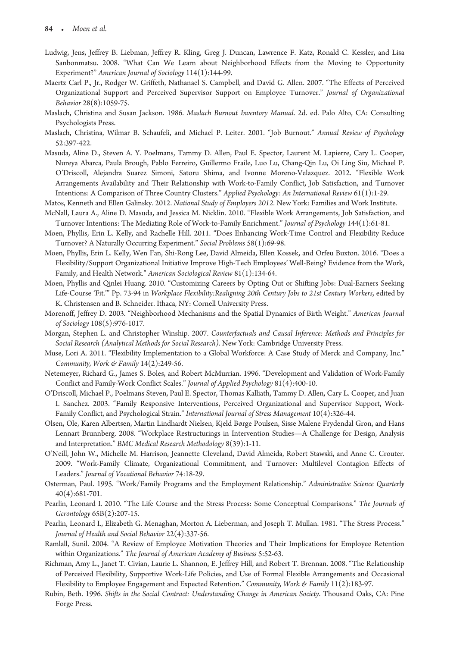- Ludwig, Jens, Jeffrey B. Liebman, Jeffrey R. Kling, Greg J. Duncan, Lawrence F. Katz, Ronald C. Kessler, and Lisa Sanbonmatsu. 2008. "What Can We Learn about Neighborhood Effects from the Moving to Opportunity Experiment?" American Journal of Sociology 114(1):144-99.
- Maertz Carl P., Jr., Rodger W. Griffeth, Nathanael S. Campbell, and David G. Allen. 2007. "The Effects of Perceived Organizational Support and Perceived Supervisor Support on Employee Turnover." Journal of Organizational Behavior 28(8):1059-75.
- Maslach, Christina and Susan Jackson. 1986. Maslach Burnout Inventory Manual. 2d. ed. Palo Alto, CA: Consulting Psychologists Press.
- Maslach, Christina, Wilmar B. Schaufeli, and Michael P. Leiter. 2001. "Job Burnout." Annual Review of Psychology 52:397-422.
- Masuda, Aline D., Steven A. Y. Poelmans, Tammy D. Allen, Paul E. Spector, Laurent M. Lapierre, Cary L. Cooper, Nureya Abarca, Paula Brough, Pablo Ferreiro, Guillermo Fraile, Luo Lu, Chang-Qin Lu, Oi Ling Siu, Michael P. O'Driscoll, Alejandra Suarez Simoni, Satoru Shima, and Ivonne Moreno-Velazquez. 2012. "Flexible Work Arrangements Availability and Their Relationship with Work-to-Family Conflict, Job Satisfaction, and Turnover Intentions: A Comparison of Three Country Clusters." Applied Psychology: An International Review 61(1):1-29.
- Matos, Kenneth and Ellen Galinsky. 2012. National Study of Employers 2012. New York: Families and Work Institute.
- McNall, Laura A., Aline D. Masuda, and Jessica M. Nicklin. 2010. "Flexible Work Arrangements, Job Satisfaction, and Turnover Intentions: The Mediating Role of Work-to-Family Enrichment." Journal of Psychology 144(1):61-81.
- Moen, Phyllis, Erin L. Kelly, and Rachelle Hill. 2011. "Does Enhancing Work-Time Control and Flexibility Reduce Turnover? A Naturally Occurring Experiment." Social Problems 58(1):69-98.
- Moen, Phyllis, Erin L. Kelly, Wen Fan, Shi-Rong Lee, David Almeida, Ellen Kossek, and Orfeu Buxton. 2016. "Does a Flexibility/Support Organizational Initiative Improve High-Tech Employees' Well-Being? Evidence from the Work, Family, and Health Network." American Sociological Review 81(1):134-64.
- Moen, Phyllis and Qinlei Huang. 2010. "Customizing Careers by Opting Out or Shifting Jobs: Dual-Earners Seeking Life-Course 'Fit.'" Pp. 73-94 in Workplace Flexibility:Realigning 20th Century Jobs to 21st Century Workers, edited by K. Christensen and B. Schneider. Ithaca, NY: Cornell University Press.
- Morenoff, Jeffrey D. 2003. "Neighborhood Mechanisms and the Spatial Dynamics of Birth Weight." American Journal of Sociology 108(5):976-1017.
- Morgan, Stephen L. and Christopher Winship. 2007. Counterfactuals and Causal Inference: Methods and Principles for Social Research (Analytical Methods for Social Research). New York: Cambridge University Press.
- Muse, Lori A. 2011. "Flexibility Implementation to a Global Workforce: A Case Study of Merck and Company, Inc." Community, Work & Family  $14(2):249-56$ .
- Netemeyer, Richard G., James S. Boles, and Robert McMurrian. 1996. "Development and Validation of Work-Family Conflict and Family-Work Conflict Scales." Journal of Applied Psychology 81(4):400-10.
- O'Driscoll, Michael P., Poelmans Steven, Paul E. Spector, Thomas Kalliath, Tammy D. Allen, Cary L. Cooper, and Juan I. Sanchez. 2003. "Family Responsive Interventions, Perceived Organizational and Supervisor Support, Work-Family Conflict, and Psychological Strain." International Journal of Stress Management 10(4):326-44.
- Olsen, Ole, Karen Albertsen, Martin Lindhardt Nielsen, Kjeld Børge Poulsen, Sisse Malene Frydendal Gron, and Hans Lennart Brunnberg. 2008. "Workplace Restructurings in Intervention Studies—A Challenge for Design, Analysis and Interpretation." BMC Medical Research Methodology 8(39):1-11.
- O'Neill, John W., Michelle M. Harrison, Jeannette Cleveland, David Almeida, Robert Stawski, and Anne C. Crouter. 2009. "Work-Family Climate, Organizational Commitment, and Turnover: Multilevel Contagion Effects of Leaders." Journal of Vocational Behavior 74:18-29.
- Osterman, Paul. 1995. "Work/Family Programs and the Employment Relationship." Administrative Science Quarterly 40(4):681-701.
- Pearlin, Leonard I. 2010. "The Life Course and the Stress Process: Some Conceptual Comparisons." The Journals of Gerontology 65B(2):207-15.
- Pearlin, Leonard I., Elizabeth G. Menaghan, Morton A. Lieberman, and Joseph T. Mullan. 1981. "The Stress Process." Journal of Health and Social Behavior 22(4):337-56.
- Ramlall, Sunil. 2004. "A Review of Employee Motivation Theories and Their Implications for Employee Retention within Organizations." The Journal of American Academy of Business 5:52-63.
- Richman, Amy L., Janet T. Civian, Laurie L. Shannon, E. Jeffrey Hill, and Robert T. Brennan. 2008. "The Relationship of Perceived Flexibility, Supportive Work-Life Policies, and Use of Formal Flexible Arrangements and Occasional Flexibility to Employee Engagement and Expected Retention." Community, Work & Family 11(2):183-97.
- Rubin, Beth. 1996. Shifts in the Social Contract: Understanding Change in American Society. Thousand Oaks, CA: Pine Forge Press.